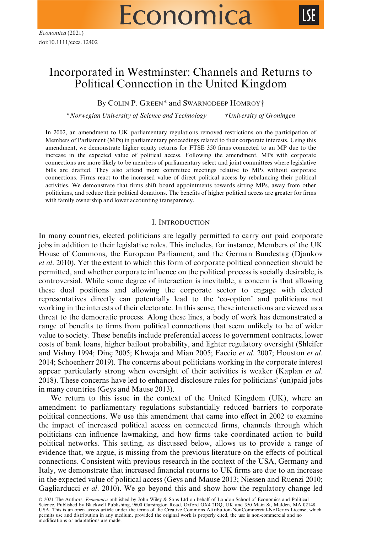# Economica



# Incorporated in Westminster: Channels and Returns to Political Connection in the United Kingdom

By COLIN P. GREEN\* and SWARNODEEP HOMROY†

\*Norwegian University of Science and Technology †University of Groningen

In 2002, an amendment to UK parliamentary regulations removed restrictions on the participation of Members of Parliament (MPs) in parliamentary proceedings related to their corporate interests. Using this amendment, we demonstrate higher equity returns for FTSE 350 firms connected to an MP due to the increase in the expected value of political access. Following the amendment, MPs with corporate connections are more likely to be members of parliamentary select and joint committees where legislative bills are drafted. They also attend more committee meetings relative to MPs without corporate connections. Firms react to the increased value of direct political access by rebalancing their political activities. We demonstrate that firms shift board appointments towards sitting MPs, away from other politicians, and reduce their political donations. The benefits of higher political access are greater for firms with family ownership and lower accounting transparency.

### I. INTRODUCTION

In many countries, elected politicians are legally permitted to carry out paid corporate jobs in addition to their legislative roles. This includes, for instance, Members of the UK House of Commons, the European Parliament, and the German Bundestag (Djankov et al. 2010). Yet the extent to which this form of corporate political connection should be permitted, and whether corporate influence on the political process is socially desirable, is controversial. While some degree of interaction is inevitable, a concern is that allowing these dual positions and allowing the corporate sector to engage with elected representatives directly can potentially lead to the 'co-option' and politicians not working in the interests of their electorate. In this sense, these interactions are viewed as a threat to the democratic process. Along these lines, a body of work has demonstrated a range of benefits to firms from political connections that seem unlikely to be of wider value to society. These benefits include preferential access to government contracts, lower costs of bank loans, higher bailout probability, and lighter regulatory oversight (Shleifer and Vishny 1994; Dinc 2005; Khwaja and Mian 2005; Faccio et al. 2007; Houston et al. 2014; Schoenherr 2019). The concerns about politicians working in the corporate interest appear particularly strong when oversight of their activities is weaker (Kaplan et al. 2018). These concerns have led to enhanced disclosure rules for politicians' (un)paid jobs in many countries (Geys and Mause 2013).

We return to this issue in the context of the United Kingdom (UK), where an amendment to parliamentary regulations substantially reduced barriers to corporate political connections. We use this amendment that came into effect in 2002 to examine the impact of increased political access on connected firms, channels through which politicians can influence lawmaking, and how firms take coordinated action to build political networks. This setting, as discussed below, allows us to provide a range of evidence that, we argue, is missing from the previous literature on the effects of political connections. Consistent with previous research in the context of the USA, Germany and Italy, we demonstrate that increased financial returns to UK firms are due to an increase in the expected value of political access (Geys and Mause 2013; Niessen and Ruenzi 2010; Gagliarducci et al. 2010). We go beyond this and show how the regulatory change led

© 2021 The Authors. Economica published by John Wiley & Sons Ltd on behalf of London School of Economics and Political Science. Published by Blackwell Publishing, 9600 Garsington Road, Oxford OX4 2DQ, UK and 350 Main St, Malden, MA 02148, USA. This is an open access article under the terms of the [Creative Commons Attribution-NonCommercial-NoDerivs](http://creativecommons.org/licenses/by-nc-nd/4.0/) License, which permits use and distribution in any medium, provided the original work is properly cited, the use is non-commercial and no modifications or adaptations are made.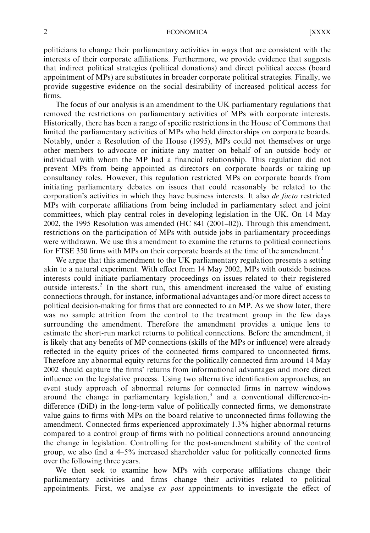#### 2 ECONOMICA [XXXX

politicians to change their parliamentary activities in ways that are consistent with the interests of their corporate affiliations. Furthermore, we provide evidence that suggests that indirect political strategies (political donations) and direct political access (board appointment of MPs) are substitutes in broader corporate political strategies. Finally, we provide suggestive evidence on the social desirability of increased political access for firms.

The focus of our analysis is an amendment to the UK parliamentary regulations that removed the restrictions on parliamentary activities of MPs with corporate interests. Historically, there has been a range of specific restrictions in the House of Commons that limited the parliamentary activities of MPs who held directorships on corporate boards. Notably, under a Resolution of the House (1995), MPs could not themselves or urge other members to advocate or initiate any matter on behalf of an outside body or individual with whom the MP had a financial relationship. This regulation did not prevent MPs from being appointed as directors on corporate boards or taking up consultancy roles. However, this regulation restricted MPs on corporate boards from initiating parliamentary debates on issues that could reasonably be related to the corporation's activities in which they have business interests. It also de facto restricted MPs with corporate affiliations from being included in parliamentary select and joint committees, which play central roles in developing legislation in the UK. On 14 May 2002, the 1995 Resolution was amended (HC 841 (2001–02)). Through this amendment, restrictions on the participation of MPs with outside jobs in parliamentary proceedings were withdrawn. We use this amendment to examine the returns to political connections for FTSE 350 firms with MPs on their corporate boards at the time of the amendment.<sup>1</sup>

We argue that this amendment to the UK parliamentary regulation presents a setting akin to a natural experiment. With effect from 14 May 2002, MPs with outside business interests could initiate parliamentary proceedings on issues related to their registered outside interests.<sup>2</sup> In the short run, this amendment increased the value of existing connections through, for instance, informational advantages and/or more direct access to political decision-making for firms that are connected to an MP. As we show later, there was no sample attrition from the control to the treatment group in the few days surrounding the amendment. Therefore the amendment provides a unique lens to estimate the short-run market returns to political connections. Before the amendment, it is likely that any benefits of MP connections (skills of the MPs or influence) were already reflected in the equity prices of the connected firms compared to unconnected firms. Therefore any abnormal equity returns for the politically connected firm around 14 May 2002 should capture the firms' returns from informational advantages and more direct influence on the legislative process. Using two alternative identification approaches, an event study approach of abnormal returns for connected firms in narrow windows around the change in parliamentary legislation, $3$  and a conventional difference-indifference (DiD) in the long-term value of politically connected firms, we demonstrate value gains to firms with MPs on the board relative to unconnected firms following the amendment. Connected firms experienced approximately 1.3% higher abnormal returns compared to a control group of firms with no political connections around announcing the change in legislation. Controlling for the post-amendment stability of the control group, we also find a 4–5% increased shareholder value for politically connected firms over the following three years.

We then seek to examine how MPs with corporate affiliations change their parliamentary activities and firms change their activities related to political appointments. First, we analyse  $ex$  post appointments to investigate the effect of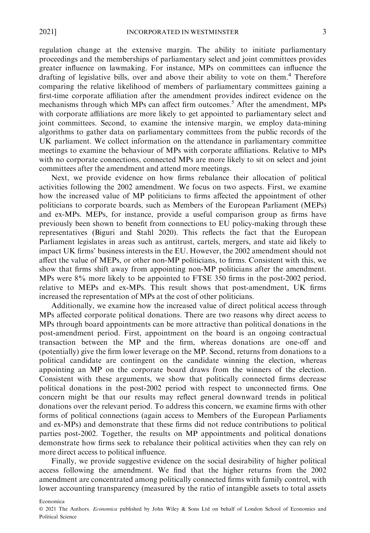regulation change at the extensive margin. The ability to initiate parliamentary proceedings and the memberships of parliamentary select and joint committees provides greater influence on lawmaking. For instance, MPs on committees can influence the drafting of legislative bills, over and above their ability to vote on them.<sup>4</sup> Therefore comparing the relative likelihood of members of parliamentary committees gaining a first-time corporate affiliation after the amendment provides indirect evidence on the mechanisms through which MPs can affect firm outcomes.<sup>5</sup> After the amendment, MPs with corporate affiliations are more likely to get appointed to parliamentary select and joint committees. Second, to examine the intensive margin, we employ data-mining algorithms to gather data on parliamentary committees from the public records of the UK parliament. We collect information on the attendance in parliamentary committee meetings to examine the behaviour of MPs with corporate affiliations. Relative to MPs with no corporate connections, connected MPs are more likely to sit on select and joint committees after the amendment and attend more meetings.

Next, we provide evidence on how firms rebalance their allocation of political activities following the 2002 amendment. We focus on two aspects. First, we examine how the increased value of MP politicians to firms affected the appointment of other politicians to corporate boards, such as Members of the European Parliament (MEPs) and ex-MPs. MEPs, for instance, provide a useful comparison group as firms have previously been shown to benefit from connections to EU policy-making through these representatives (Biguri and Stahl 2020). This reflects the fact that the European Parliament legislates in areas such as antitrust, cartels, mergers, and state aid likely to impact UK firms' business interests in the EU. However, the 2002 amendment should not affect the value of MEPs, or other non-MP politicians, to firms. Consistent with this, we show that firms shift away from appointing non-MP politicians after the amendment. MPs were 8% more likely to be appointed to FTSE 350 firms in the post-2002 period, relative to MEPs and ex-MPs. This result shows that post-amendment, UK firms increased the representation of MPs at the cost of other politicians.

Additionally, we examine how the increased value of direct political access through MPs affected corporate political donations. There are two reasons why direct access to MPs through board appointments can be more attractive than political donations in the post-amendment period. First, appointment on the board is an ongoing contractual transaction between the MP and the firm, whereas donations are one-off and (potentially) give the firm lower leverage on the MP. Second, returns from donations to a political candidate are contingent on the candidate winning the election, whereas appointing an MP on the corporate board draws from the winners of the election. Consistent with these arguments, we show that politically connected firms decrease political donations in the post-2002 period with respect to unconnected firms. One concern might be that our results may reflect general downward trends in political donations over the relevant period. To address this concern, we examine firms with other forms of political connections (again access to Members of the European Parliaments and ex-MPs) and demonstrate that these firms did not reduce contributions to political parties post-2002. Together, the results on MP appointments and political donations demonstrate how firms seek to rebalance their political activities when they can rely on more direct access to political influence.

Finally, we provide suggestive evidence on the social desirability of higher political access following the amendment. We find that the higher returns from the 2002 amendment are concentrated among politically connected firms with family control, with lower accounting transparency (measured by the ratio of intangible assets to total assets

© 2021 The Authors. Economica published by John Wiley & Sons Ltd on behalf of London School of Economics and Political Science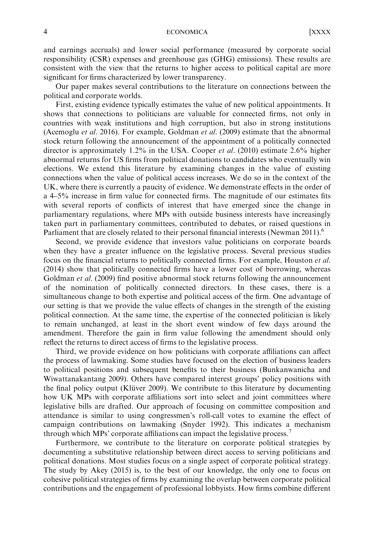#### 4 ECONOMICA [XXXX

and earnings accruals) and lower social performance (measured by corporate social responsibility (CSR) expenses and greenhouse gas (GHG) emissions). These results are consistent with the view that the returns to higher access to political capital are more significant for firms characterized by lower transparency.

Our paper makes several contributions to the literature on connections between the political and corporate worlds.

First, existing evidence typically estimates the value of new political appointments. It shows that connections to politicians are valuable for connected firms, not only in countries with weak institutions and high corruption, but also in strong institutions (Acemoglu et al. 2016). For example, Goldman et al. (2009) estimate that the abnormal stock return following the announcement of the appointment of a politically connected director is approximately 1.2% in the USA. Cooper et al. (2010) estimate 2.6% higher abnormal returns for US firms from political donations to candidates who eventually win elections. We extend this literature by examining changes in the value of existing connections when the value of political access increases. We do so in the context of the UK, where there is currently a paucity of evidence. We demonstrate effects in the order of a 4–5% increase in firm value for connected firms. The magnitude of our estimates fits with several reports of conflicts of interest that have emerged since the change in parliamentary regulations, where MPs with outside business interests have increasingly taken part in parliamentary committees, contributed to debates, or raised questions in Parliament that are closely related to their personal financial interests (Newman 2011).<sup>6</sup>

Second, we provide evidence that investors value politicians on corporate boards when they have a greater influence on the legislative process. Several previous studies focus on the financial returns to politically connected firms. For example, Houston et al. (2014) show that politically connected firms have a lower cost of borrowing, whereas Goldman *et al.* (2009) find positive abnormal stock returns following the announcement of the nomination of politically connected directors. In these cases, there is a simultaneous change to both expertise and political access of the firm. One advantage of our setting is that we provide the value effects of changes in the strength of the existing political connection. At the same time, the expertise of the connected politician is likely to remain unchanged, at least in the short event window of few days around the amendment. Therefore the gain in firm value following the amendment should only reflect the returns to direct access of firms to the legislative process.

Third, we provide evidence on how politicians with corporate affiliations can affect the process of lawmaking. Some studies have focused on the election of business leaders to political positions and subsequent benefits to their business (Bunkanwanicha and Wiwattanakantang 2009). Others have compared interest groups' policy positions with the final policy output (Klüver 2009). We contribute to this literature by documenting how UK MPs with corporate affiliations sort into select and joint committees where legislative bills are drafted. Our approach of focusing on committee composition and attendance is similar to using congressmen's roll-call votes to examine the effect of campaign contributions on lawmaking (Snyder 1992). This indicates a mechanism through which MPs' corporate affiliations can impact the legislative process.<sup>7</sup>

Furthermore, we contribute to the literature on corporate political strategies by documenting a substitutive relationship between direct access to serving politicians and political donations. Most studies focus on a single aspect of corporate political strategy. The study by Akey (2015) is, to the best of our knowledge, the only one to focus on cohesive political strategies of firms by examining the overlap between corporate political contributions and the engagement of professional lobbyists. How firms combine different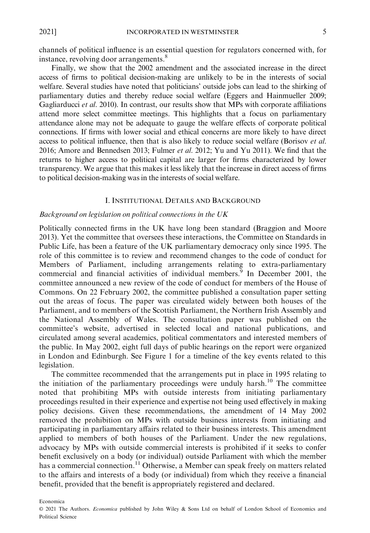channels of political influence is an essential question for regulators concerned with, for instance, revolving door arrangements.<sup>8</sup>

Finally, we show that the 2002 amendment and the associated increase in the direct access of firms to political decision-making are unlikely to be in the interests of social welfare. Several studies have noted that politicians' outside jobs can lead to the shirking of parliamentary duties and thereby reduce social welfare (Eggers and Hainmueller 2009; Gagliarducci et al. 2010). In contrast, our results show that MPs with corporate affiliations attend more select committee meetings. This highlights that a focus on parliamentary attendance alone may not be adequate to gauge the welfare effects of corporate political connections. If firms with lower social and ethical concerns are more likely to have direct access to political influence, then that is also likely to reduce social welfare (Borisov et al. 2016; Amore and Bennedsen 2013; Fulmer et al. 2012; Yu and Yu 2011). We find that the returns to higher access to political capital are larger for firms characterized by lower transparency. We argue that this makes it less likely that the increase in direct access of firms to political decision-making was in the interests of social welfare.

#### I. INSTITUTIONAL DETAILS AND BACKGROUND

#### Background on legislation on political connections in the UK

Politically connected firms in the UK have long been standard (Braggion and Moore 2013). Yet the committee that oversees these interactions, the Committee on Standards in Public Life, has been a feature of the UK parliamentary democracy only since 1995. The role of this committee is to review and recommend changes to the code of conduct for Members of Parliament, including arrangements relating to extra-parliamentary commercial and financial activities of individual members.<sup>9</sup> In December 2001, the committee announced a new review of the code of conduct for members of the House of Commons. On 22 February 2002, the committee published a consultation paper setting out the areas of focus. The paper was circulated widely between both houses of the Parliament, and to members of the Scottish Parliament, the Northern Irish Assembly and the National Assembly of Wales. The consultation paper was published on the committee's website, advertised in selected local and national publications, and circulated among several academics, political commentators and interested members of the public. In May 2002, eight full days of public hearings on the report were organized in London and Edinburgh. See Figure 1 for a timeline of the key events related to this legislation.

The committee recommended that the arrangements put in place in 1995 relating to the initiation of the parliamentary proceedings were unduly harsh.<sup>10</sup> The committee noted that prohibiting MPs with outside interests from initiating parliamentary proceedings resulted in their experience and expertise not being used effectively in making policy decisions. Given these recommendations, the amendment of 14 May 2002 removed the prohibition on MPs with outside business interests from initiating and participating in parliamentary affairs related to their business interests. This amendment applied to members of both houses of the Parliament. Under the new regulations, advocacy by MPs with outside commercial interests is prohibited if it seeks to confer benefit exclusively on a body (or individual) outside Parliament with which the member has a commercial connection.<sup>11</sup> Otherwise, a Member can speak freely on matters related to the affairs and interests of a body (or individual) from which they receive a financial benefit, provided that the benefit is appropriately registered and declared.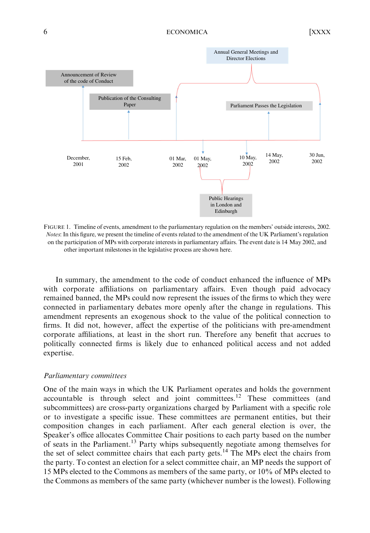

FIGURE 1. Timeline of events, amendment to the parliamentary regulation on the members' outside interests, 2002. Notes: In this figure, we present the timeline of events related to the amendment of the UK Parliament's regulation on the participation of MPs with corporate interests in parliamentary affairs. The event date is 14 May 2002, and other important milestones in the legislative process are shown here.

In summary, the amendment to the code of conduct enhanced the influence of MPs with corporate affiliations on parliamentary affairs. Even though paid advocacy remained banned, the MPs could now represent the issues of the firms to which they were connected in parliamentary debates more openly after the change in regulations. This amendment represents an exogenous shock to the value of the political connection to firms. It did not, however, affect the expertise of the politicians with pre-amendment corporate affiliations, at least in the short run. Therefore any benefit that accrues to politically connected firms is likely due to enhanced political access and not added expertise.

#### Parliamentary committees

One of the main ways in which the UK Parliament operates and holds the government accountable is through select and joint committees.<sup>12</sup> These committees (and subcommittees) are cross-party organizations charged by Parliament with a specific role or to investigate a specific issue. These committees are permanent entities, but their composition changes in each parliament. After each general election is over, the Speaker's office allocates Committee Chair positions to each party based on the number of seats in the Parliament.13 Party whips subsequently negotiate among themselves for the set of select committee chairs that each party gets.<sup>14</sup> The MPs elect the chairs from the party. To contest an election for a select committee chair, an MP needs the support of 15 MPs elected to the Commons as members of the same party, or 10% of MPs elected to the Commons as members of the same party (whichever number is the lowest). Following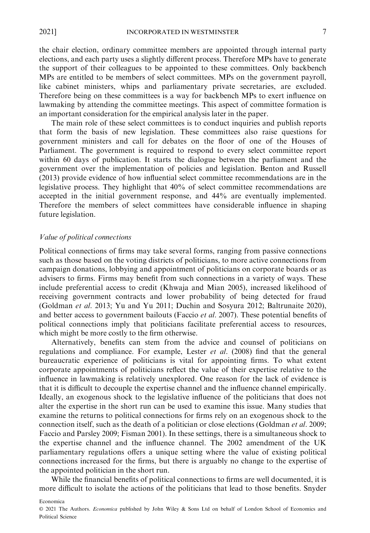the chair election, ordinary committee members are appointed through internal party elections, and each party uses a slightly different process. Therefore MPs have to generate the support of their colleagues to be appointed to these committees. Only backbench MPs are entitled to be members of select committees. MPs on the government payroll, like cabinet ministers, whips and parliamentary private secretaries, are excluded. Therefore being on these committees is a way for backbench MPs to exert influence on lawmaking by attending the committee meetings. This aspect of committee formation is an important consideration for the empirical analysis later in the paper.

The main role of these select committees is to conduct inquiries and publish reports that form the basis of new legislation. These committees also raise questions for government ministers and call for debates on the floor of one of the Houses of Parliament. The government is required to respond to every select committee report within 60 days of publication. It starts the dialogue between the parliament and the government over the implementation of policies and legislation. Benton and Russell (2013) provide evidence of how influential select committee recommendations are in the legislative process. They highlight that 40% of select committee recommendations are accepted in the initial government response, and 44% are eventually implemented. Therefore the members of select committees have considerable influence in shaping future legislation.

#### Value of political connections

Political connections of firms may take several forms, ranging from passive connections such as those based on the voting districts of politicians, to more active connections from campaign donations, lobbying and appointment of politicians on corporate boards or as advisers to firms. Firms may benefit from such connections in a variety of ways. These include preferential access to credit (Khwaja and Mian 2005), increased likelihood of receiving government contracts and lower probability of being detected for fraud (Goldman et al. 2013; Yu and Yu 2011; Duchin and Sosyura 2012; Baltrunaite 2020), and better access to government bailouts (Faccio *et al.* 2007). These potential benefits of political connections imply that politicians facilitate preferential access to resources, which might be more costly to the firm otherwise.

Alternatively, benefits can stem from the advice and counsel of politicians on regulations and compliance. For example, Lester  $et$  al. (2008) find that the general bureaucratic experience of politicians is vital for appointing firms. To what extent corporate appointments of politicians reflect the value of their expertise relative to the influence in lawmaking is relatively unexplored. One reason for the lack of evidence is that it is difficult to decouple the expertise channel and the influence channel empirically. Ideally, an exogenous shock to the legislative influence of the politicians that does not alter the expertise in the short run can be used to examine this issue. Many studies that examine the returns to political connections for firms rely on an exogenous shock to the connection itself, such as the death of a politician or close elections (Goldman et al. 2009; Faccio and Parsley 2009; Fisman 2001). In these settings, there is a simultaneous shock to the expertise channel and the influence channel. The 2002 amendment of the UK parliamentary regulations offers a unique setting where the value of existing political connections increased for the firms, but there is arguably no change to the expertise of the appointed politician in the short run.

While the financial benefits of political connections to firms are well documented, it is more difficult to isolate the actions of the politicians that lead to those benefits. Snyder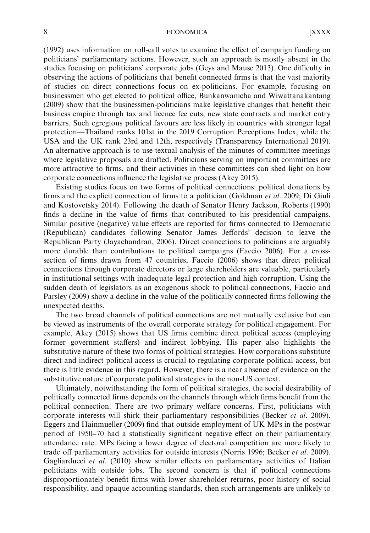#### 8 ECONOMICA [XXXX

(1992) uses information on roll-call votes to examine the effect of campaign funding on politicians' parliamentary actions. However, such an approach is mostly absent in the studies focusing on politicians' corporate jobs (Geys and Mause 2013). One difficulty in observing the actions of politicians that benefit connected firms is that the vast majority of studies on direct connections focus on ex-politicians. For example, focusing on businessmen who get elected to political office, Bunkanwanicha and Wiwattanakantang (2009) show that the businessmen-politicians make legislative changes that benefit their business empire through tax and licence fee cuts, new state contracts and market entry barriers. Such egregious political favours are less likely in countries with stronger legal protection—Thailand ranks 101st in the 2019 Corruption Perceptions Index, while the USA and the UK rank 23rd and 12th, respectively (Transparency International 2019). An alternative approach is to use textual analysis of the minutes of committee meetings where legislative proposals are drafted. Politicians serving on important committees are more attractive to firms, and their activities in these committees can shed light on how corporate connections influence the legislative process (Akey 2015).

Existing studies focus on two forms of political connections: political donations by firms and the explicit connection of firms to a politician (Goldman et al. 2009; Di Giuli and Kostovetsky 2014). Following the death of Senator Henry Jackson, Roberts (1990) finds a decline in the value of firms that contributed to his presidential campaigns. Similar positive (negative) value effects are reported for firms connected to Democratic (Republican) candidates following Senator James Jeffords' decision to leave the Republican Party (Jayachandran, 2006). Direct connections to politicians are arguably more durable than contributions to political campaigns (Faccio 2006). For a crosssection of firms drawn from 47 countries, Faccio (2006) shows that direct political connections through corporate directors or large shareholders are valuable, particularly in institutional settings with inadequate legal protection and high corruption. Using the sudden death of legislators as an exogenous shock to political connections, Faccio and Parsley (2009) show a decline in the value of the politically connected firms following the unexpected deaths.

The two broad channels of political connections are not mutually exclusive but can be viewed as instruments of the overall corporate strategy for political engagement. For example, Akey (2015) shows that US firms combine direct political access (employing former government staffers) and indirect lobbying. His paper also highlights the substitutive nature of these two forms of political strategies. How corporations substitute direct and indirect political access is crucial to regulating corporate political access, but there is little evidence in this regard. However, there is a near absence of evidence on the substitutive nature of corporate political strategies in the non-US context.

Ultimately, notwithstanding the form of political strategies, the social desirability of politically connected firms depends on the channels through which firms benefit from the political connection. There are two primary welfare concerns. First, politicians with corporate interests will shirk their parliamentary responsibilities (Becker et al. 2009). Eggers and Hainmueller (2009) find that outside employment of UK MPs in the postwar period of 1950–70 had a statistically significant negative effect on their parliamentary attendance rate. MPs facing a lower degree of electoral competition are more likely to trade off parliamentary activities for outside interests (Norris 1996; Becker et al. 2009). Gagliarducci et al. (2010) show similar effects on parliamentary activities of Italian politicians with outside jobs. The second concern is that if political connections disproportionately benefit firms with lower shareholder returns, poor history of social responsibility, and opaque accounting standards, then such arrangements are unlikely to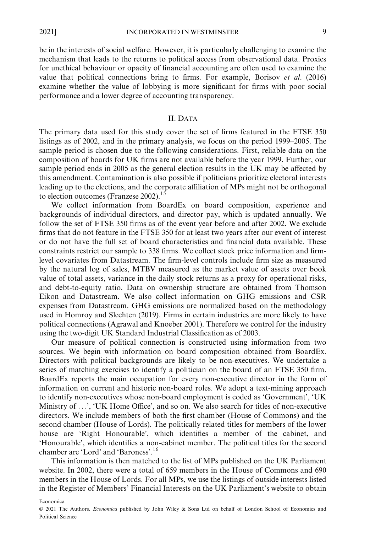be in the interests of social welfare. However, it is particularly challenging to examine the mechanism that leads to the returns to political access from observational data. Proxies for unethical behaviour or opacity of financial accounting are often used to examine the value that political connections bring to firms. For example, Borisov et al. (2016) examine whether the value of lobbying is more significant for firms with poor social performance and a lower degree of accounting transparency.

#### II. DATA

The primary data used for this study cover the set of firms featured in the FTSE 350 listings as of 2002, and in the primary analysis, we focus on the period 1999–2005. The sample period is chosen due to the following considerations. First, reliable data on the composition of boards for UK firms are not available before the year 1999. Further, our sample period ends in 2005 as the general election results in the UK may be affected by this amendment. Contamination is also possible if politicians prioritize electoral interests leading up to the elections, and the corporate affiliation of MPs might not be orthogonal to election outcomes (Franzese 2002).<sup>15</sup>

We collect information from BoardEx on board composition, experience and backgrounds of individual directors, and director pay, which is updated annually. We follow the set of FTSE 350 firms as of the event year before and after 2002. We exclude firms that do not feature in the FTSE 350 for at least two years after our event of interest or do not have the full set of board characteristics and financial data available. These constraints restrict our sample to 338 firms. We collect stock price information and firmlevel covariates from Datastream. The firm-level controls include firm size as measured by the natural log of sales, MTBV measured as the market value of assets over book value of total assets, variance in the daily stock returns as a proxy for operational risks, and debt-to-equity ratio. Data on ownership structure are obtained from Thomson Eikon and Datastream. We also collect information on GHG emissions and CSR expenses from Datastream. GHG emissions are normalized based on the methodology used in Homroy and Slechten (2019). Firms in certain industries are more likely to have political connections (Agrawal and Knoeber 2001). Therefore we control for the industry using the two-digit UK Standard Industrial Classification as of 2003.

Our measure of political connection is constructed using information from two sources. We begin with information on board composition obtained from BoardEx. Directors with political backgrounds are likely to be non-executives. We undertake a series of matching exercises to identify a politician on the board of an FTSE 350 firm. BoardEx reports the main occupation for every non-executive director in the form of information on current and historic non-board roles. We adopt a text-mining approach to identify non-executives whose non-board employment is coded as 'Government', 'UK Ministry of ...', 'UK Home Office', and so on. We also search for titles of non-executive directors. We include members of both the first chamber (House of Commons) and the second chamber (House of Lords). The politically related titles for members of the lower house are 'Right Honourable', which identifies a member of the cabinet, and 'Honourable', which identifies a non-cabinet member. The political titles for the second chamber are 'Lord' and 'Baroness'.<sup>16</sup>

This information is then matched to the list of MPs published on the UK Parliament website. In 2002, there were a total of 659 members in the House of Commons and 690 members in the House of Lords. For all MPs, we use the listings of outside interests listed in the Register of Members' Financial Interests on the UK Parliament's website to obtain

<sup>©</sup> 2021 The Authors. Economica published by John Wiley & Sons Ltd on behalf of London School of Economics and Political Science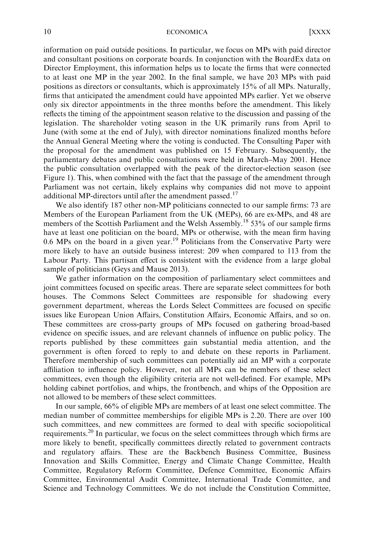#### 10 ECONOMICA [XXXX

information on paid outside positions. In particular, we focus on MPs with paid director and consultant positions on corporate boards. In conjunction with the BoardEx data on Director Employment, this information helps us to locate the firms that were connected to at least one MP in the year 2002. In the final sample, we have 203 MPs with paid positions as directors or consultants, which is approximately 15% of all MPs. Naturally, firms that anticipated the amendment could have appointed MPs earlier. Yet we observe only six director appointments in the three months before the amendment. This likely reflects the timing of the appointment season relative to the discussion and passing of the legislation. The shareholder voting season in the UK primarily runs from April to June (with some at the end of July), with director nominations finalized months before the Annual General Meeting where the voting is conducted. The Consulting Paper with the proposal for the amendment was published on 15 February. Subsequently, the parliamentary debates and public consultations were held in March–May 2001. Hence the public consultation overlapped with the peak of the director-election season (see Figure 1). This, when combined with the fact that the passage of the amendment through Parliament was not certain, likely explains why companies did not move to appoint additional MP-directors until after the amendment passed.<sup>17</sup>

We also identify 187 other non-MP politicians connected to our sample firms: 73 are Members of the European Parliament from the UK (MEPs), 66 are ex-MPs, and 48 are members of the Scottish Parliament and the Welsh Assembly.<sup>18</sup> 53% of our sample firms have at least one politician on the board, MPs or otherwise, with the mean firm having 0.6 MPs on the board in a given year.<sup>19</sup> Politicians from the Conservative Party were more likely to have an outside business interest: 209 when compared to 113 from the Labour Party. This partisan effect is consistent with the evidence from a large global sample of politicians (Geys and Mause 2013).

We gather information on the composition of parliamentary select committees and joint committees focused on specific areas. There are separate select committees for both houses. The Commons Select Committees are responsible for shadowing every government department, whereas the Lords Select Committees are focused on specific issues like European Union Affairs, Constitution Affairs, Economic Affairs, and so on. These committees are cross-party groups of MPs focused on gathering broad-based evidence on specific issues, and are relevant channels of influence on public policy. The reports published by these committees gain substantial media attention, and the government is often forced to reply to and debate on these reports in Parliament. Therefore membership of such committees can potentially aid an MP with a corporate affiliation to influence policy. However, not all MPs can be members of these select committees, even though the eligibility criteria are not well-defined. For example, MPs holding cabinet portfolios, and whips, the frontbench, and whips of the Opposition are not allowed to be members of these select committees.

In our sample, 66% of eligible MPs are members of at least one select committee. The median number of committee memberships for eligible MPs is 2.20. There are over 100 such committees, and new committees are formed to deal with specific sociopolitical requirements.20 In particular, we focus on the select committees through which firms are more likely to benefit, specifically committees directly related to government contracts and regulatory affairs. These are the Backbench Business Committee, Business Innovation and Skills Committee, Energy and Climate Change Committee, Health Committee, Regulatory Reform Committee, Defence Committee, Economic Affairs Committee, Environmental Audit Committee, International Trade Committee, and Science and Technology Committees. We do not include the Constitution Committee,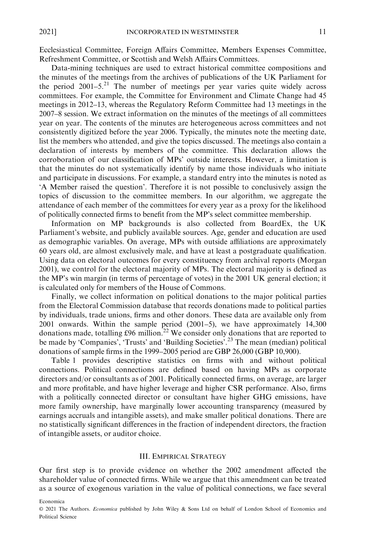Ecclesiastical Committee, Foreign Affairs Committee, Members Expenses Committee, Refreshment Committee, or Scottish and Welsh Affairs Committees.

Data-mining techniques are used to extract historical committee compositions and the minutes of the meetings from the archives of publications of the UK Parliament for the period  $2001-5.<sup>21</sup>$  The number of meetings per year varies quite widely across committees. For example, the Committee for Environment and Climate Change had 45 meetings in 2012–13, whereas the Regulatory Reform Committee had 13 meetings in the 2007–8 session. We extract information on the minutes of the meetings of all committees year on year. The contents of the minutes are heterogeneous across committees and not consistently digitized before the year 2006. Typically, the minutes note the meeting date, list the members who attended, and give the topics discussed. The meetings also contain a declaration of interests by members of the committee. This declaration allows the corroboration of our classification of MPs' outside interests. However, a limitation is that the minutes do not systematically identify by name those individuals who initiate and participate in discussions. For example, a standard entry into the minutes is noted as 'A Member raised the question'. Therefore it is not possible to conclusively assign the topics of discussion to the committee members. In our algorithm, we aggregate the attendance of each member of the committees for every year as a proxy for the likelihood of politically connected firms to benefit from the MP's select committee membership.

Information on MP backgrounds is also collected from BoardEx, the UK Parliament's website, and publicly available sources. Age, gender and education are used as demographic variables. On average, MPs with outside affiliations are approximately 60 years old, are almost exclusively male, and have at least a postgraduate qualification. Using data on electoral outcomes for every constituency from archival reports (Morgan 2001), we control for the electoral majority of MPs. The electoral majority is defined as the MP's win margin (in terms of percentage of votes) in the 2001 UK general election; it is calculated only for members of the House of Commons.

Finally, we collect information on political donations to the major political parties from the Electoral Commission database that records donations made to political parties by individuals, trade unions, firms and other donors. These data are available only from 2001 onwards. Within the sample period (2001–5), we have approximately 14,300 donations made, totalling £96 million.<sup>22</sup> We consider only donations that are reported to be made by 'Companies', 'Trusts' and 'Building Societies'.<sup>23</sup> The mean (median) political donations of sample firms in the 1999–2005 period are GBP 26,000 (GBP 10,900).

Table 1 provides descriptive statistics on firms with and without political connections. Political connections are defined based on having MPs as corporate directors and/or consultants as of 2001. Politically connected firms, on average, are larger and more profitable, and have higher leverage and higher CSR performance. Also, firms with a politically connected director or consultant have higher GHG emissions, have more family ownership, have marginally lower accounting transparency (measured by earnings accruals and intangible assets), and make smaller political donations. There are no statistically significant differences in the fraction of independent directors, the fraction of intangible assets, or auditor choice.

#### III. EMPIRICAL STRATEGY

Our first step is to provide evidence on whether the 2002 amendment affected the shareholder value of connected firms. While we argue that this amendment can be treated as a source of exogenous variation in the value of political connections, we face several

<sup>©</sup> 2021 The Authors. Economica published by John Wiley & Sons Ltd on behalf of London School of Economics and Political Science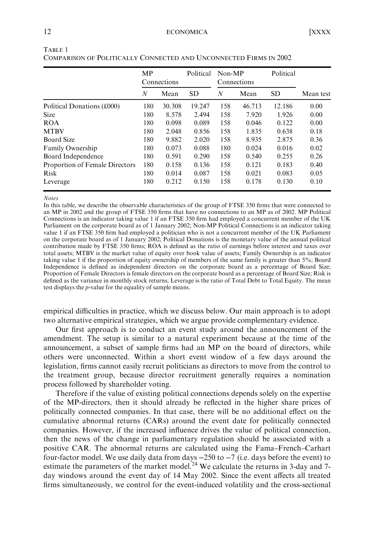|                                | MP  | Connections | Political | Non-MP | Connections | Political |           |
|--------------------------------|-----|-------------|-----------|--------|-------------|-----------|-----------|
|                                | N   | Mean        | <b>SD</b> | N      | Mean        | <b>SD</b> | Mean test |
| Political Donations (£000)     | 180 | 30.308      | 19.247    | 158    | 46.713      | 12.186    | 0.00      |
| <b>Size</b>                    | 180 | 8.578       | 2.494     | 158    | 7.920       | 1.926     | 0.00      |
| <b>ROA</b>                     | 180 | 0.098       | 0.089     | 158    | 0.046       | 0.122     | 0.00      |
| <b>MTBV</b>                    | 180 | 2.048       | 0.856     | 158    | 1.835       | 0.638     | 0.18      |
| Board Size                     | 180 | 9.882       | 2.020     | 158    | 8.935       | 2.875     | 0.36      |
| Family Ownership               | 180 | 0.073       | 0.088     | 180    | 0.024       | 0.016     | 0.02      |
| Board Independence             | 180 | 0.591       | 0.290     | 158    | 0.540       | 0.255     | 0.26      |
| Proportion of Female Directors | 180 | 0.158       | 0.136     | 158    | 0.121       | 0.183     | 0.40      |
| <b>Risk</b>                    | 180 | 0.014       | 0.087     | 158    | 0.021       | 0.083     | 0.05      |
| Leverage                       | 180 | 0.212       | 0.150     | 158    | 0.178       | 0.130     | 0.10      |

TABLE 1 COMPARISON OF POLITICALLY CONNECTED AND UNCONNECTED FIRMS IN 2002

Notes

In this table, we describe the observable characteristics of the group of FTSE 350 firms that were connected to an MP in 2002 and the group of FTSE 350 firms that have no connections to an MP as of 2002. MP Political Connections is an indicator taking value 1 if an FTSE 350 firm had employed a concurrent member of the UK Parliament on the corporate board as of 1 January 2002; Non-MP Political Connections is an indicator taking value 1 if an FTSE 350 firm had employed a politician who is not a concurrent member of the UK Parliament on the corporate board as of 1 January 2002; Political Donations is the monetary value of the annual political contribution made by FTSE 350 firms; ROA is defined as the ratio of earnings before interest and taxes over total assets; MTBV is the market value of equity over book value of assets; Family Ownership is an indicator taking value 1 if the proportion of equity ownership of members of the same family is greater than 5%; Board Independence is defined as independent directors on the corporate board as a percentage of Board Size; Proportion of Female Directors is female directors on the corporate board as a percentage of Board Size; Risk is defined as the variance in monthly stock returns; Leverage is the ratio of Total Debt to Total Equity. The mean test displays the p-value for the equality of sample means.

empirical difficulties in practice, which we discuss below. Our main approach is to adopt two alternative empirical strategies, which we argue provide complementary evidence.

Our first approach is to conduct an event study around the announcement of the amendment. The setup is similar to a natural experiment because at the time of the announcement, a subset of sample firms had an MP on the board of directors, while others were unconnected. Within a short event window of a few days around the legislation, firms cannot easily recruit politicians as directors to move from the control to the treatment group, because director recruitment generally requires a nomination process followed by shareholder voting.

Therefore if the value of existing political connections depends solely on the expertise of the MP-directors, then it should already be reflected in the higher share prices of politically connected companies. In that case, there will be no additional effect on the cumulative abnormal returns (CARs) around the event date for politically connected companies. However, if the increased influence drives the value of political connection, then the news of the change in parliamentary regulation should be associated with a positive CAR. The abnormal returns are calculated using the Fama–French–Carhart four-factor model. We use daily data from days −250 to −7 (i.e. days before the event) to estimate the parameters of the market model.<sup>24</sup> We calculate the returns in 3-day and 7day windows around the event day of 14 May 2002. Since the event affects all treated firms simultaneously, we control for the event-induced volatility and the cross-sectional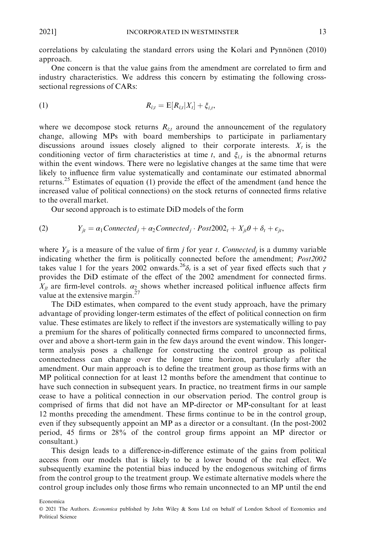correlations by calculating the standard errors using the Kolari and Pynnonen (2010) approach.

One concern is that the value gains from the amendment are correlated to firm and industry characteristics. We address this concern by estimating the following crosssectional regressions of CARs:

(1) 
$$
R_{i,t} = E[R_{i,t}|X_t] + \xi_{i,t},
$$

where we decompose stock returns  $R_{i,t}$  around the announcement of the regulatory change, allowing MPs with board memberships to participate in parliamentary discussions around issues closely aligned to their corporate interests.  $X_t$  is the conditioning vector of firm characteristics at time t, and  $\xi_{i,t}$  is the abnormal returns within the event windows. There were no legislative changes at the same time that were likely to influence firm value systematically and contaminate our estimated abnormal returns.<sup>25</sup> Estimates of equation (1) provide the effect of the amendment (and hence the increased value of political connections) on the stock returns of connected firms relative to the overall market.

Our second approach is to estimate DiD models of the form

(2) 
$$
Y_{jt} = \alpha_1 Connected_j + \alpha_2 Connected_j \cdot Post2002_t + X_{jt} \theta + \delta_t + \epsilon_{jt},
$$

where  $Y_{it}$  is a measure of the value of firm *j* for year *t*. Connected<sub>i</sub> is a dummy variable indicating whether the firm is politically connected before the amendment; Post2002 takes value 1 for the years 2002 onwards.<sup>26</sup> $\delta_t$  is a set of year fixed effects such that  $\gamma$ provides the DiD estimate of the effect of the 2002 amendment for connected firms.  $X_{jt}$  are firm-level controls.  $\alpha_2$  shows whether increased political influence affects firm value at the extensive margin.<sup>27</sup>

The DiD estimates, when compared to the event study approach, have the primary advantage of providing longer-term estimates of the effect of political connection on firm value. These estimates are likely to reflect if the investors are systematically willing to pay a premium for the shares of politically connected firms compared to unconnected firms, over and above a short-term gain in the few days around the event window. This longerterm analysis poses a challenge for constructing the control group as political connectedness can change over the longer time horizon, particularly after the amendment. Our main approach is to define the treatment group as those firms with an MP political connection for at least 12 months before the amendment that continue to have such connection in subsequent years. In practice, no treatment firms in our sample cease to have a political connection in our observation period. The control group is comprised of firms that did not have an MP-director or MP-consultant for at least 12 months preceding the amendment. These firms continue to be in the control group, even if they subsequently appoint an MP as a director or a consultant. (In the post-2002 period, 45 firms or 28% of the control group firms appoint an MP director or consultant.)

This design leads to a difference-in-difference estimate of the gains from political access from our models that is likely to be a lower bound of the real effect. We subsequently examine the potential bias induced by the endogenous switching of firms from the control group to the treatment group. We estimate alternative models where the control group includes only those firms who remain unconnected to an MP until the end

<sup>©</sup> 2021 The Authors. Economica published by John Wiley & Sons Ltd on behalf of London School of Economics and Political Science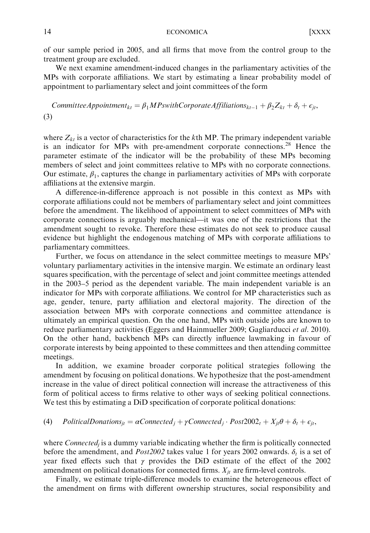of our sample period in 2005, and all firms that move from the control group to the treatment group are excluded.

We next examine amendment-induced changes in the parliamentary activities of the MPs with corporate affiliations. We start by estimating a linear probability model of appointment to parliamentary select and joint committees of the form

CommitteeAppointment<sub>kt</sub> =  $\beta_1 M$ PswithCorporateAffiliations<sub>kt-1</sub> +  $\beta_2 Z_{kt} + \delta_t + \epsilon_{jt}$ , (3)

where  $Z_{kt}$  is a vector of characteristics for the kth MP. The primary independent variable is an indicator for MPs with pre-amendment corporate connections.<sup>28</sup> Hence the parameter estimate of the indicator will be the probability of these MPs becoming members of select and joint committees relative to MPs with no corporate connections. Our estimate,  $\beta_1$ , captures the change in parliamentary activities of MPs with corporate affiliations at the extensive margin.

A difference-in-difference approach is not possible in this context as MPs with corporate affiliations could not be members of parliamentary select and joint committees before the amendment. The likelihood of appointment to select committees of MPs with corporate connections is arguably mechanical—it was one of the restrictions that the amendment sought to revoke. Therefore these estimates do not seek to produce causal evidence but highlight the endogenous matching of MPs with corporate affiliations to parliamentary committees.

Further, we focus on attendance in the select committee meetings to measure MPs' voluntary parliamentary activities in the intensive margin. We estimate an ordinary least squares specification, with the percentage of select and joint committee meetings attended in the 2003–5 period as the dependent variable. The main independent variable is an indicator for MPs with corporate affiliations. We control for MP characteristics such as age, gender, tenure, party affiliation and electoral majority. The direction of the association between MPs with corporate connections and committee attendance is ultimately an empirical question. On the one hand, MPs with outside jobs are known to reduce parliamentary activities (Eggers and Hainmueller 2009; Gagliarducci et al. 2010). On the other hand, backbench MPs can directly influence lawmaking in favour of corporate interests by being appointed to these committees and then attending committee meetings.

In addition, we examine broader corporate political strategies following the amendment by focusing on political donations. We hypothesize that the post-amendment increase in the value of direct political connection will increase the attractiveness of this form of political access to firms relative to other ways of seeking political connections. We test this by estimating a DiD specification of corporate political donations:

(4) PoliticalDonations<sub>jt</sub> =  $\alpha$ Connected<sub>j</sub> +  $\gamma$ Connected<sub>j</sub> ·  $Post2002_t + X_{jt}\theta + \delta_t + \epsilon_{jt}$ ,

where  $Connected<sub>i</sub>$  is a dummy variable indicating whether the firm is politically connected before the amendment, and *Post2002* takes value 1 for years 2002 onwards.  $\delta_t$  is a set of year fixed effects such that  $\gamma$  provides the DiD estimate of the effect of the 2002 amendment on political donations for connected firms.  $X_{it}$  are firm-level controls.

Finally, we estimate triple-difference models to examine the heterogeneous effect of the amendment on firms with different ownership structures, social responsibility and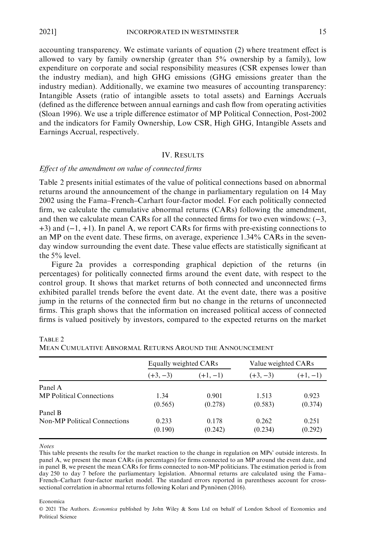accounting transparency. We estimate variants of equation (2) where treatment effect is allowed to vary by family ownership (greater than  $5\%$  ownership by a family), low expenditure on corporate and social responsibility measures (CSR expenses lower than the industry median), and high GHG emissions (GHG emissions greater than the industry median). Additionally, we examine two measures of accounting transparency: Intangible Assets (ratio of intangible assets to total assets) and Earnings Accruals (defined as the difference between annual earnings and cash flow from operating activities (Sloan 1996). We use a triple difference estimator of MP Political Connection, Post-2002 and the indicators for Family Ownership, Low CSR, High GHG, Intangible Assets and Earnings Accrual, respectively.

#### IV. RESULTS

#### Effect of the amendment on value of connected firms

Table 2 presents initial estimates of the value of political connections based on abnormal returns around the announcement of the change in parliamentary regulation on 14 May 2002 using the Fama–French–Carhart four-factor model. For each politically connected firm, we calculate the cumulative abnormal returns (CARs) following the amendment, and then we calculate mean CARs for all the connected firms for two even windows: (−3, +3) and (−1, +1). In panel A, we report CARs for firms with pre-existing connections to an MP on the event date. These firms, on average, experience 1.34% CARs in the sevenday window surrounding the event date. These value effects are statistically significant at the 5% level.

Figure 2a provides a corresponding graphical depiction of the returns (in percentages) for politically connected firms around the event date, with respect to the control group. It shows that market returns of both connected and unconnected firms exhibited parallel trends before the event date. At the event date, there was a positive jump in the returns of the connected firm but no change in the returns of unconnected firms. This graph shows that the information on increased political access of connected firms is valued positively by investors, compared to the expected returns on the market

|                                     | Equally weighted CARs |            | Value weighted CARs |            |  |
|-------------------------------------|-----------------------|------------|---------------------|------------|--|
|                                     | $(+3, -3)$            | $(+1, -1)$ | $(+3, -3)$          | $(+1, -1)$ |  |
| Panel A                             |                       |            |                     |            |  |
| <b>MP</b> Political Connections     | 1.34                  | 0.901      | 1.513               | 0.923      |  |
|                                     | (0.565)               | (0.278)    | (0.583)             | (0.374)    |  |
| Panel B                             |                       |            |                     |            |  |
| <b>Non-MP Political Connections</b> | 0.233                 | 0.178      | 0.262               | 0.251      |  |
|                                     | (0.190)               | (0.242)    | (0.234)             | (0.292)    |  |

TABLE 2 MEAN CUMULATIVE ABNORMAL RETURNS AROUND THE ANNOUNCEMENT

#### Notes

This table presents the results for the market reaction to the change in regulation on MPs' outside interests. In panel A, we present the mean CARs (in percentages) for firms connected to an MP around the event date, and in panel B, we present the mean CARs for firms connected to non-MP politicians. The estimation period is from day 250 to day 7 before the parliamentary legislation. Abnormal returns are calculated using the Fama– French–Carhart four-factor market model. The standard errors reported in parentheses account for crosssectional correlation in abnormal returns following Kolari and Pynnönen (2016).

#### Economica

© 2021 The Authors. Economica published by John Wiley & Sons Ltd on behalf of London School of Economics and Political Science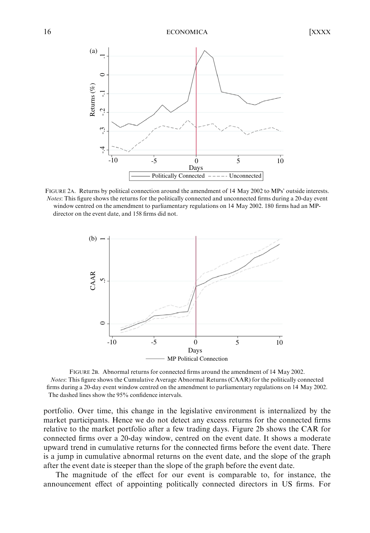

FIGURE 2A. Returns by political connection around the amendment of 14 May 2002 to MPs' outside interests. Notes: This figure shows the returns for the politically connected and unconnected firms during a 20-day event window centred on the amendment to parliamentary regulations on 14 May 2002. 180 firms had an MPdirector on the event date, and 158 firms did not.



FIGURE 2B. Abnormal returns for connected firms around the amendment of 14 May 2002. Notes: This figure shows the Cumulative Average Abnormal Returns (CAAR) for the politically connected firms during a 20-day event window centred on the amendment to parliamentary regulations on 14 May 2002. The dashed lines show the 95% confidence intervals.

portfolio. Over time, this change in the legislative environment is internalized by the market participants. Hence we do not detect any excess returns for the connected firms relative to the market portfolio after a few trading days. Figure 2b shows the CAR for connected firms over a 20-day window, centred on the event date. It shows a moderate upward trend in cumulative returns for the connected firms before the event date. There is a jump in cumulative abnormal returns on the event date, and the slope of the graph after the event date is steeper than the slope of the graph before the event date.

The magnitude of the effect for our event is comparable to, for instance, the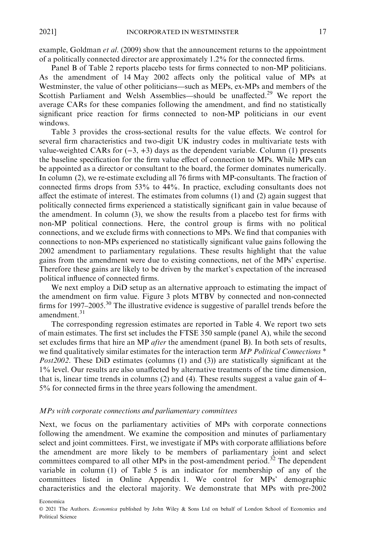example, Goldman *et al.* (2009) show that the announcement returns to the appointment of a politically connected director are approximately 1.2% for the connected firms.

Panel B of Table 2 reports placebo tests for firms connected to non-MP politicians. As the amendment of 14 May 2002 affects only the political value of MPs at Westminster, the value of other politicians—such as MEPs, ex-MPs and members of the Scottish Parliament and Welsh Assemblies—should be unaffected.<sup>29</sup> We report the average CARs for these companies following the amendment, and find no statistically significant price reaction for firms connected to non-MP politicians in our event windows.

Table 3 provides the cross-sectional results for the value effects. We control for several firm characteristics and two-digit UK industry codes in multivariate tests with value-weighted CARs for  $(-3, +3)$  days as the dependent variable. Column (1) presents the baseline specification for the firm value effect of connection to MPs. While MPs can be appointed as a director or consultant to the board, the former dominates numerically. In column (2), we re-estimate excluding all 76 firms with MP-consultants. The fraction of connected firms drops from 53% to 44%. In practice, excluding consultants does not affect the estimate of interest. The estimates from columns (1) and (2) again suggest that politically connected firms experienced a statistically significant gain in value because of the amendment. In column (3), we show the results from a placebo test for firms with non-MP political connections. Here, the control group is firms with no political connections, and we exclude firms with connections to MPs. We find that companies with connections to non-MPs experienced no statistically significant value gains following the 2002 amendment to parliamentary regulations. These results highlight that the value gains from the amendment were due to existing connections, net of the MPs' expertise. Therefore these gains are likely to be driven by the market's expectation of the increased political influence of connected firms.

We next employ a DiD setup as an alternative approach to estimating the impact of the amendment on firm value. Figure 3 plots MTBV by connected and non-connected firms for 1997–2005.<sup>30</sup> The illustrative evidence is suggestive of parallel trends before the amendment.<sup>31</sup>

The corresponding regression estimates are reported in Table 4. We report two sets of main estimates. The first set includes the FTSE 350 sample (panel A), while the second set excludes firms that hire an MP *after* the amendment (panel B). In both sets of results, we find qualitatively similar estimates for the interaction term  $MP$  Political Connections  $*$ Post2002. These DiD estimates (columns (1) and (3)) are statistically significant at the 1% level. Our results are also unaffected by alternative treatments of the time dimension, that is, linear time trends in columns (2) and (4). These results suggest a value gain of 4– 5% for connected firms in the three years following the amendment.

#### MPs with corporate connections and parliamentary committees

Next, we focus on the parliamentary activities of MPs with corporate connections following the amendment. We examine the composition and minutes of parliamentary select and joint committees. First, we investigate if MPs with corporate affiliations before the amendment are more likely to be members of parliamentary joint and select committees compared to all other MPs in the post-amendment period.<sup>32</sup> The dependent variable in column (1) of Table 5 is an indicator for membership of any of the committees listed in Online Appendix 1. We control for MPs' demographic characteristics and the electoral majority. We demonstrate that MPs with pre-2002

<sup>©</sup> 2021 The Authors. Economica published by John Wiley & Sons Ltd on behalf of London School of Economics and Political Science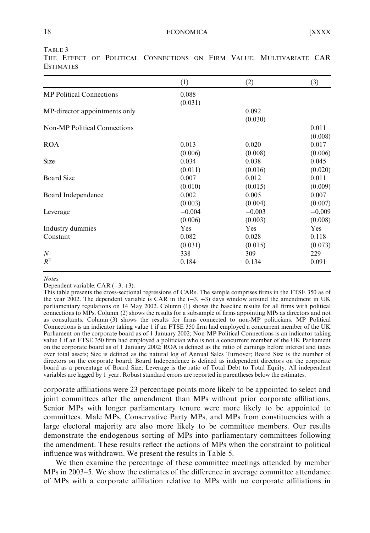|                                     | (1)      | (2)      | (3)      |
|-------------------------------------|----------|----------|----------|
| <b>MP</b> Political Connections     | 0.088    |          |          |
|                                     | (0.031)  |          |          |
| MP-director appointments only       |          | 0.092    |          |
|                                     |          | (0.030)  |          |
| <b>Non-MP Political Connections</b> |          |          | 0.011    |
|                                     |          |          | (0.008)  |
| <b>ROA</b>                          | 0.013    | 0.020    | 0.017    |
|                                     | (0.006)  | (0.008)  | (0.006)  |
| Size                                | 0.034    | 0.038    | 0.045    |
|                                     | (0.011)  | (0.016)  | (0.020)  |
| <b>Board Size</b>                   | 0.007    | 0.012    | 0.011    |
|                                     | (0.010)  | (0.015)  | (0.009)  |
| Board Independence                  | 0.002    | 0.005    | 0.007    |
|                                     | (0.003)  | (0.004)  | (0.007)  |
| Leverage                            | $-0.004$ | $-0.003$ | $-0.009$ |
|                                     | (0.006)  | (0.003)  | (0.008)  |
| Industry dummies                    | Yes      | Yes      | Yes      |
| Constant                            | 0.082    | 0.028    | 0.118    |
|                                     | (0.031)  | (0.015)  | (0.073)  |
| $\boldsymbol{N}$                    | 338      | 309      | 229      |
| $R^2$                               | 0.184    | 0.134    | 0.091    |

THE EFFECT OF POLITICAL CONNECTIONS ON FIRM VALUE: MULTIVARIATE CAR **ESTIMATES** 

#### Notes

Dependent variable: CAR (−3, +3).

This table presents the cross-sectional regressions of CARs. The sample comprises firms in the FTSE 350 as of the year 2002. The dependent variable is CAR in the  $(-3, +3)$  days window around the amendment in UK parliamentary regulations on 14 May 2002. Column (1) shows the baseline results for all firms with political connections to MPs. Column (2) shows the results for a subsample of firms appointing MPs as directors and not as consultants. Column (3) shows the results for firms connected to non-MP politicians. MP Political Connections is an indicator taking value 1 if an FTSE 350 firm had employed a concurrent member of the UK Parliament on the corporate board as of 1 January 2002; Non-MP Political Connections is an indicator taking value 1 if an FTSE 350 firm had employed a politician who is not a concurrent member of the UK Parliament on the corporate board as of 1 January 2002; ROA is defined as the ratio of earnings before interest and taxes over total assets; Size is defined as the natural log of Annual Sales Turnover; Board Size is the number of directors on the corporate board; Board Independence is defined as independent directors on the corporate board as a percentage of Board Size; Leverage is the ratio of Total Debt to Total Equity. All independent variables are lagged by 1 year. Robust standard errors are reported in parentheses below the estimates.

corporate affiliations were 23 percentage points more likely to be appointed to select and joint committees after the amendment than MPs without prior corporate affiliations. Senior MPs with longer parliamentary tenure were more likely to be appointed to committees. Male MPs, Conservative Party MPs, and MPs from constituencies with a large electoral majority are also more likely to be committee members. Our results demonstrate the endogenous sorting of MPs into parliamentary committees following the amendment. These results reflect the actions of MPs when the constraint to political influence was withdrawn. We present the results in Table 5.

We then examine the percentage of these committee meetings attended by member MPs in 2003–5. We show the estimates of the difference in average committee attendance of MPs with a corporate affiliation relative to MPs with no corporate affiliations in

TABLE 3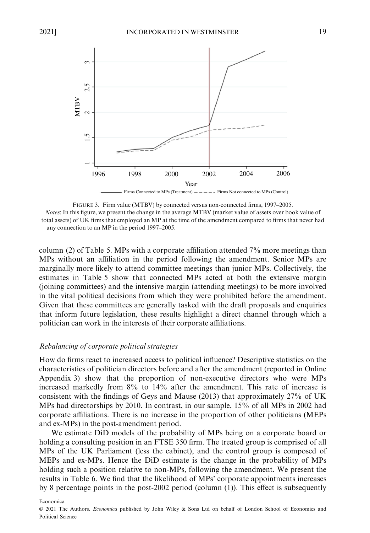

Firms Connected to MPs (Treatment)  $---$  - Firms Not connected to MPs (Control)

FIGURE 3. Firm value (MTBV) by connected versus non-connected firms, 1997–2005. Notes: In this figure, we present the change in the average MTBV (market value of assets over book value of total assets) of UK firms that employed an MP at the time of the amendment compared to firms that never had any connection to an MP in the period 1997–2005.

column (2) of Table 5. MPs with a corporate affiliation attended 7% more meetings than MPs without an affiliation in the period following the amendment. Senior MPs are marginally more likely to attend committee meetings than junior MPs. Collectively, the estimates in Table 5 show that connected MPs acted at both the extensive margin (joining committees) and the intensive margin (attending meetings) to be more involved in the vital political decisions from which they were prohibited before the amendment. Given that these committees are generally tasked with the draft proposals and enquiries that inform future legislation, these results highlight a direct channel through which a politician can work in the interests of their corporate affiliations.

#### Rebalancing of corporate political strategies

How do firms react to increased access to political influence? Descriptive statistics on the characteristics of politician directors before and after the amendment (reported in Online Appendix 3) show that the proportion of non-executive directors who were MPs increased markedly from 8% to 14% after the amendment. This rate of increase is consistent with the findings of Geys and Mause (2013) that approximately 27% of UK MPs had directorships by 2010. In contrast, in our sample, 15% of all MPs in 2002 had corporate affiliations. There is no increase in the proportion of other politicians (MEPs and ex-MPs) in the post-amendment period.

We estimate DiD models of the probability of MPs being on a corporate board or holding a consulting position in an FTSE 350 firm. The treated group is comprised of all MPs of the UK Parliament (less the cabinet), and the control group is composed of MEPs and ex-MPs. Hence the DiD estimate is the change in the probability of MPs holding such a position relative to non-MPs, following the amendment. We present the results in Table 6. We find that the likelihood of MPs' corporate appointments increases by 8 percentage points in the post-2002 period (column (1)). This effect is subsequently

© 2021 The Authors. Economica published by John Wiley & Sons Ltd on behalf of London School of Economics and Political Science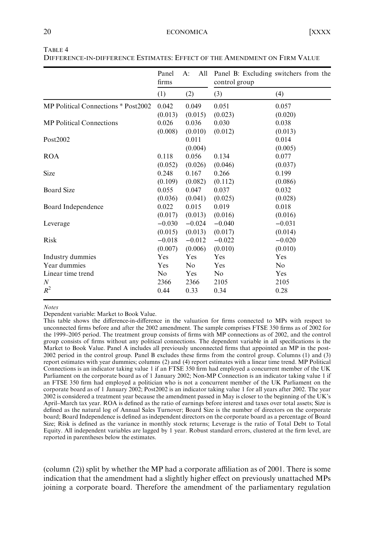|                                     | Panel<br>firms | A:<br>All      | Panel B: Excluding switchers from the<br>control group |          |
|-------------------------------------|----------------|----------------|--------------------------------------------------------|----------|
|                                     | (1)            | (2)            | (3)                                                    | (4)      |
| MP Political Connections * Post2002 | 0.042          | 0.049          | 0.051                                                  | 0.057    |
|                                     | (0.013)        | (0.015)        | (0.023)                                                | (0.020)  |
| <b>MP</b> Political Connections     | 0.026          | 0.036          | 0.030                                                  | 0.038    |
|                                     | (0.008)        | (0.010)        | (0.012)                                                | (0.013)  |
| Post2002                            |                | 0.011          |                                                        | 0.014    |
|                                     |                | (0.004)        |                                                        | (0.005)  |
| <b>ROA</b>                          | 0.118          | 0.056          | 0.134                                                  | 0.077    |
|                                     | (0.052)        | (0.026)        | (0.046)                                                | (0.037)  |
| <b>Size</b>                         | 0.248          | 0.167          | 0.266                                                  | 0.199    |
|                                     | (0.109)        | (0.082)        | (0.112)                                                | (0.086)  |
| <b>Board Size</b>                   | 0.055          | 0.047          | 0.037                                                  | 0.032    |
|                                     | (0.036)        | (0.041)        | (0.025)                                                | (0.028)  |
| Board Independence                  | 0.022          | 0.015          | 0.019                                                  | 0.018    |
|                                     | (0.017)        | (0.013)        | (0.016)                                                | (0.016)  |
| Leverage                            | $-0.030$       | $-0.024$       | $-0.040$                                               | $-0.031$ |
|                                     | (0.015)        | (0.013)        | (0.017)                                                | (0.014)  |
| Risk                                | $-0.018$       | $-0.012$       | $-0.022$                                               | $-0.020$ |
|                                     | (0.007)        | (0.006)        | (0.010)                                                | (0.010)  |
| Industry dummies                    | Yes            | Yes            | Yes                                                    | Yes      |
| Year dummies                        | Yes            | N <sub>0</sub> | Yes                                                    | No       |
| Linear time trend                   | N <sub>0</sub> | Yes            | No                                                     | Yes      |
| $\boldsymbol{N}$                    | 2366           | 2366           | 2105                                                   | 2105     |
| $R^2$                               | 0.44           | 0.33           | 0.34                                                   | 0.28     |

TABLE 4

DIFFERENCE-IN-DIFFERENCE ESTIMATES: EFFECT OF THE AMENDMENT ON FIRM VALUE

#### Notes

Dependent variable: Market to Book Value.

This table shows the difference-in-difference in the valuation for firms connected to MPs with respect to unconnected firms before and after the 2002 amendment. The sample comprises FTSE 350 firms as of 2002 for the 1999–2005 period. The treatment group consists of firms with MP connections as of 2002, and the control group consists of firms without any political connections. The dependent variable in all specifications is the Market to Book Value. Panel A includes all previously unconnected firms that appointed an MP in the post-2002 period in the control group. Panel B excludes these firms from the control group. Columns (1) and (3) report estimates with year dummies; columns (2) and (4) report estimates with a linear time trend. MP Political Connections is an indicator taking value 1 if an FTSE 350 firm had employed a concurrent member of the UK Parliament on the corporate board as of 1 January 2002; Non-MP Connection is an indicator taking value 1 if an FTSE 350 firm had employed a politician who is not a concurrent member of the UK Parliament on the corporate board as of 1 January 2002; Post2002 is an indicator taking value 1 for all years after 2002. The year 2002 is considered a treatment year because the amendment passed in May is closer to the beginning of the UK's April–March tax year. ROA is defined as the ratio of earnings before interest and taxes over total assets; Size is defined as the natural log of Annual Sales Turnover; Board Size is the number of directors on the corporate board; Board Independence is defined as independent directors on the corporate board as a percentage of Board Size; Risk is defined as the variance in monthly stock returns; Leverage is the ratio of Total Debt to Total Equity. All independent variables are lagged by 1 year. Robust standard errors, clustered at the firm level, are reported in parentheses below the estimates.

(column (2)) split by whether the MP had a corporate affiliation as of 2001. There is some indication that the amendment had a slightly higher effect on previously unattached MPs joining a corporate board. Therefore the amendment of the parliamentary regulation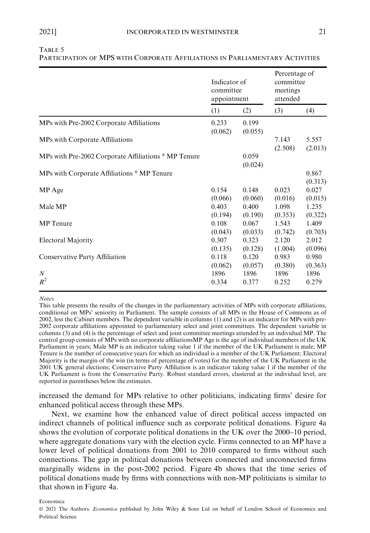|                                                      | Indicator of<br>committee<br>appointment |                  | Percentage of<br>committee<br>meetings<br>attended |                  |
|------------------------------------------------------|------------------------------------------|------------------|----------------------------------------------------|------------------|
|                                                      | (1)                                      | (2)              | (3)                                                | (4)              |
| MPs with Pre-2002 Corporate Affiliations             | 0.233<br>(0.062)                         | 0.199<br>(0.055) |                                                    |                  |
| MPs with Corporate Affiliations                      |                                          |                  | 7.143<br>(2.508)                                   | 5.557<br>(2.013) |
| MPs with Pre-2002 Corporate Affiliations * MP Tenure |                                          | 0.059<br>(0.024) |                                                    |                  |
| MPs with Corporate Affiliations * MP Tenure          |                                          |                  |                                                    | 0.867<br>(0.313) |
| MP Age                                               | 0.154                                    | 0.148            | 0.023                                              | 0.027            |
|                                                      | (0.066)                                  | (0.060)          | (0.016)                                            | (0.015)          |
| Male MP                                              | 0.403                                    | 0.400            | 1.098                                              | 1.235            |
|                                                      | (0.194)                                  | (0.190)          | (0.353)                                            | (0.322)          |
| <b>MP</b> Tenure                                     | 0.108                                    | 0.067            | 1.543                                              | 1.409            |
|                                                      | (0.043)                                  | (0.033)          | (0.742)                                            | (0.703)          |
| <b>Electoral Majority</b>                            | 0.307                                    | 0.323            | 2.120                                              | 2.012            |
|                                                      | (0.135)                                  | (0.128)          | (1.004)                                            | (0.096)          |
| Conservative Party Affiliation                       | 0.118                                    | 0.120            | 0.983                                              | 0.980            |
|                                                      | (0.062)                                  | (0.057)          | (0.380)                                            | (0.363)          |
| $\boldsymbol{N}$                                     | 1896                                     | 1896             | 1896                                               | 1896             |
| $R^2$                                                | 0.334                                    | 0.377            | 0.252                                              | 0.279            |

## TABLE 5

PARTICIPATION OF MPS WITH CORPORATE AFFILIATIONS IN PARLIAMENTARY ACTIVITIES

**Notes** 

This table presents the results of the changes in the parliamentary activities of MPs with corporate affiliations, conditional on MPs' seniority in Parliament. The sample consists of all MPs in the House of Commons as of 2002, less the Cabinet members. The dependent variable in columns (1) and (2) is an indicator for MPs with pre-2002 corporate affiliations appointed to parliamentary select and joint committees. The dependent variable in columns (3) and (4) is the percentage of select and joint committee meetings attended by an individual MP. The control group consists of MPs with no corporate affiliationsMP Age is the age of individual members of the UK Parliament in years; Male MP is an indicator taking value 1 if the member of the UK Parliament is male; MP Tenure is the number of consecutive years for which an individual is a member of the UK Parliament; Electoral Majority is the margin of the win (in terms of percentage of votes) for the member of the UK Parliament in the 2001 UK general elections; Conservative Party Affiliation is an indicator taking value 1 if the member of the UK Parliament is from the Conservative Party. Robust standard errors, clustered at the individual level, are reported in parentheses below the estimates.

increased the demand for MPs relative to other politicians, indicating firms' desire for enhanced political access through these MPs.

Next, we examine how the enhanced value of direct political access impacted on indirect channels of political influence such as corporate political donations. Figure 4a shows the evolution of corporate political donations in the UK over the 2000–10 period, where aggregate donations vary with the election cycle. Firms connected to an MP have a lower level of political donations from 2001 to 2010 compared to firms without such connections. The gap in political donations between connected and unconnected firms marginally widens in the post-2002 period. Figure 4b shows that the time series of political donations made by firms with connections with non-MP politicians is similar to that shown in Figure 4a.

<sup>©</sup> 2021 The Authors. Economica published by John Wiley & Sons Ltd on behalf of London School of Economics and Political Science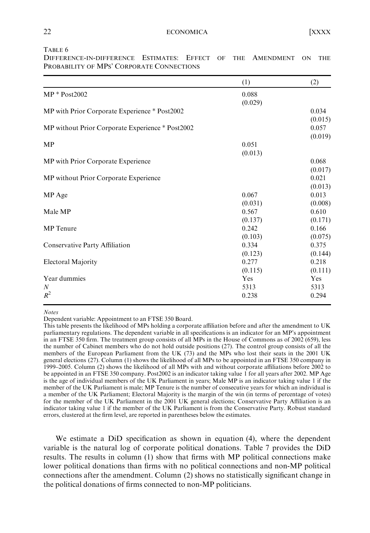TABLE 6

|                                                  | (1)        | (2)        |
|--------------------------------------------------|------------|------------|
| $MP * Post2002$                                  | 0.088      |            |
|                                                  | (0.029)    |            |
| MP with Prior Corporate Experience * Post2002    |            | 0.034      |
|                                                  |            | (0.015)    |
| MP without Prior Corporate Experience * Post2002 |            | 0.057      |
|                                                  |            | (0.019)    |
| MP                                               | 0.051      |            |
|                                                  | (0.013)    |            |
| MP with Prior Corporate Experience               |            | 0.068      |
|                                                  |            | (0.017)    |
| MP without Prior Corporate Experience            |            | 0.021      |
|                                                  |            | (0.013)    |
| MP Age                                           | 0.067      | 0.013      |
|                                                  | (0.031)    | (0.008)    |
| Male MP                                          | 0.567      | 0.610      |
|                                                  | (0.137)    | (0.171)    |
| <b>MP</b> Tenure                                 | 0.242      | 0.166      |
|                                                  | (0.103)    | (0.075)    |
| Conservative Party Affiliation                   | 0.334      | 0.375      |
|                                                  | (0.123)    | (0.144)    |
| <b>Electoral Majority</b>                        | 0.277      | 0.218      |
|                                                  | (0.115)    | (0.111)    |
| Year dummies                                     | <b>Yes</b> | <b>Yes</b> |
| N                                                | 5313       | 5313       |
| $R^2$                                            | 0.238      | 0.294      |

DIFFERENCE-IN-DIFFERENCE ESTIMATES: EFFECT OF THE AMENDMENT ON THE PROBABILITY OF MPS' CORPORATE CONNECTIONS

#### Notes

Dependent variable: Appointment to an FTSE 350 Board.

This table presents the likelihood of MPs holding a corporate affiliation before and after the amendment to UK parliamentary regulations. The dependent variable in all specifications is an indicator for an MP's appointment in an FTSE 350 firm. The treatment group consists of all MPs in the House of Commons as of 2002 (659), less the number of Cabinet members who do not hold outside positions (27). The control group consists of all the members of the European Parliament from the UK (73) and the MPs who lost their seats in the 2001 UK general elections (27). Column (1) shows the likelihood of all MPs to be appointed in an FTSE 350 company in 1999–2005. Column (2) shows the likelihood of all MPs with and without corporate affiliations before 2002 to be appointed in an FTSE 350 company. Post2002 is an indicator taking value 1 for all years after 2002. MP Age is the age of individual members of the UK Parliament in years; Male MP is an indicator taking value 1 if the member of the UK Parliament is male; MP Tenure is the number of consecutive years for which an individual is a member of the UK Parliament; Electoral Majority is the margin of the win (in terms of percentage of votes) for the member of the UK Parliament in the 2001 UK general elections; Conservative Party Affiliation is an indicator taking value 1 if the member of the UK Parliament is from the Conservative Party. Robust standard errors, clustered at the firm level, are reported in parentheses below the estimates.

We estimate a DiD specification as shown in equation (4), where the dependent variable is the natural log of corporate political donations. Table 7 provides the DiD results. The results in column (1) show that firms with MP political connections make lower political donations than firms with no political connections and non-MP political connections after the amendment. Column (2) shows no statistically significant change in the political donations of firms connected to non-MP politicians.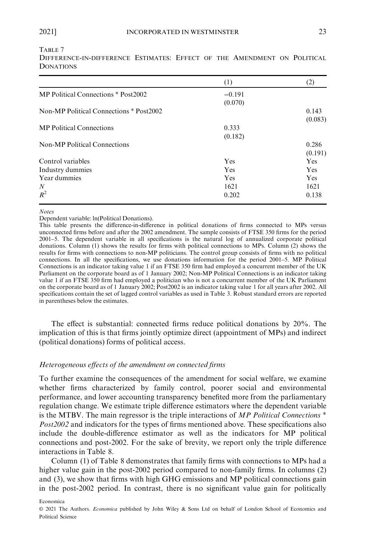TABLE 7

|                                         | (1)      | (2)        |
|-----------------------------------------|----------|------------|
| MP Political Connections * Post2002     | $-0.191$ |            |
|                                         | (0.070)  |            |
| Non-MP Political Connections * Post2002 |          | 0.143      |
|                                         |          | (0.083)    |
| <b>MP</b> Political Connections         | 0.333    |            |
|                                         | (0.182)  |            |
| <b>Non-MP Political Connections</b>     |          | 0.286      |
|                                         |          | (0.191)    |
| Control variables                       | Yes      | <b>Yes</b> |
| Industry dummies                        | Yes      | <b>Yes</b> |
| Year dummies                            | Yes      | <b>Yes</b> |
| $\boldsymbol{N}$                        | 1621     | 1621       |
| $R^2$                                   | 0.202    | 0.138      |

DIFFERENCE-IN-DIFFERENCE ESTIMATES: EFFECT OF THE AMENDMENT ON POLITICAL DONATIONS

#### Notes

Dependent variable: ln(Political Donations).

This table presents the difference-in-difference in political donations of firms connected to MPs versus unconnected firms before and after the 2002 amendment. The sample consists of FTSE 350 firms for the period 2001–5. The dependent variable in all specifications is the natural log of annualized corporate political donations. Column (1) shows the results for firms with political connections to MPs. Column (2) shows the results for firms with connections to non-MP politicians. The control group consists of firms with no political connections. In all the specifications, we use donations information for the period 2001–5. MP Political Connections is an indicator taking value 1 if an FTSE 350 firm had employed a concurrent member of the UK Parliament on the corporate board as of 1 January 2002; Non-MP Political Connections is an indicator taking value 1 if an FTSE 350 firm had employed a politician who is not a concurrent member of the UK Parliament on the corporate board as of 1 January 2002; Post2002 is an indicator taking value 1 for all years after 2002. All specifications contain the set of lagged control variables as used in Table 3. Robust standard errors are reported in parentheses below the estimates.

The effect is substantial: connected firms reduce political donations by 20%. The implication of this is that firms jointly optimize direct (appointment of MPs) and indirect (political donations) forms of political access.

#### Heterogeneous effects of the amendment on connected firms

To further examine the consequences of the amendment for social welfare, we examine whether firms characterized by family control, poorer social and environmental performance, and lower accounting transparency benefited more from the parliamentary regulation change. We estimate triple difference estimators where the dependent variable is the MTBV. The main regressor is the triple interactions of  $MP$  Political Connections  $*$ Post2002 and indicators for the types of firms mentioned above. These specifications also include the double-difference estimator as well as the indicators for MP political connections and post-2002. For the sake of brevity, we report only the triple difference interactions in Table 8.

Column (1) of Table 8 demonstrates that family firms with connections to MPs had a higher value gain in the post-2002 period compared to non-family firms. In columns (2) and (3), we show that firms with high GHG emissions and MP political connections gain in the post-2002 period. In contrast, there is no significant value gain for politically

Economica

© 2021 The Authors. Economica published by John Wiley & Sons Ltd on behalf of London School of Economics and Political Science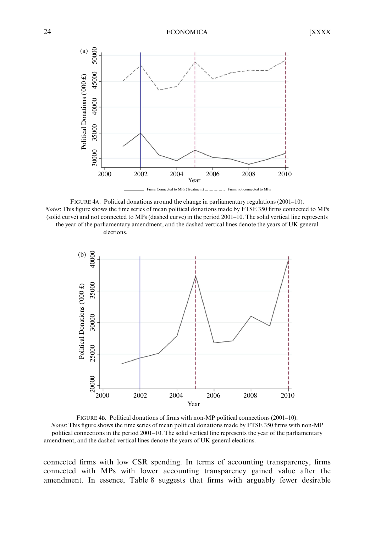

FIGURE 4A. Political donations around the change in parliamentary regulations (2001–10). Notes: This figure shows the time series of mean political donations made by FTSE 350 firms connected to MPs (solid curve) and not connected to MPs (dashed curve) in the period 2001–10. The solid vertical line represents the year of the parliamentary amendment, and the dashed vertical lines denote the years of UK general elections.



FIGURE 4B. Political donations of firms with non-MP political connections (2001–10). Notes: This figure shows the time series of mean political donations made by FTSE 350 firms with non-MP political connections in the period 2001–10. The solid vertical line represents the year of the parliamentary

connected firms with low CSR spending. In terms of accounting transparency, firms connected with MPs with lower accounting transparency gained value after the amendment. In essence, Table 8 suggests that firms with arguably fewer desirable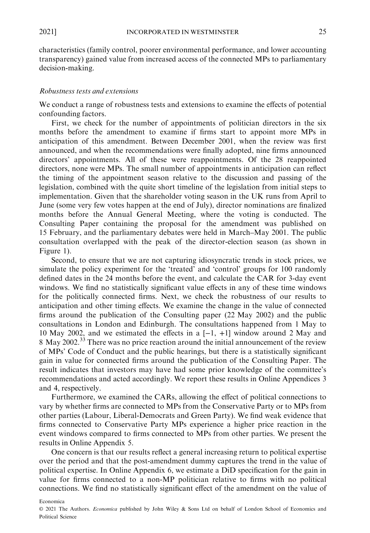characteristics (family control, poorer environmental performance, and lower accounting transparency) gained value from increased access of the connected MPs to parliamentary decision-making.

#### Robustness tests and extensions

We conduct a range of robustness tests and extensions to examine the effects of potential confounding factors.

First, we check for the number of appointments of politician directors in the six months before the amendment to examine if firms start to appoint more MPs in anticipation of this amendment. Between December 2001, when the review was first announced, and when the recommendations were finally adopted, nine firms announced directors' appointments. All of these were reappointments. Of the 28 reappointed directors, none were MPs. The small number of appointments in anticipation can reflect the timing of the appointment season relative to the discussion and passing of the legislation, combined with the quite short timeline of the legislation from initial steps to implementation. Given that the shareholder voting season in the UK runs from April to June (some very few votes happen at the end of July), director nominations are finalized months before the Annual General Meeting, where the voting is conducted. The Consulting Paper containing the proposal for the amendment was published on 15 February, and the parliamentary debates were held in March–May 2001. The public consultation overlapped with the peak of the director-election season (as shown in Figure 1).

Second, to ensure that we are not capturing idiosyncratic trends in stock prices, we simulate the policy experiment for the 'treated' and 'control' groups for 100 randomly defined dates in the 24 months before the event, and calculate the CAR for 3-day event windows. We find no statistically significant value effects in any of these time windows for the politically connected firms. Next, we check the robustness of our results to anticipation and other timing effects. We examine the change in the value of connected firms around the publication of the Consulting paper (22 May 2002) and the public consultations in London and Edinburgh. The consultations happened from 1 May to 10 May 2002, and we estimated the effects in a [−1, +1] window around 2 May and 8 May 2002.<sup>33</sup> There was no price reaction around the initial announcement of the review of MPs' Code of Conduct and the public hearings, but there is a statistically significant gain in value for connected firms around the publication of the Consulting Paper. The result indicates that investors may have had some prior knowledge of the committee's recommendations and acted accordingly. We report these results in Online Appendices 3 and 4, respectively.

Furthermore, we examined the CARs, allowing the effect of political connections to vary by whether firms are connected to MPs from the Conservative Party or to MPs from other parties (Labour, Liberal-Democrats and Green Party). We find weak evidence that firms connected to Conservative Party MPs experience a higher price reaction in the event windows compared to firms connected to MPs from other parties. We present the results in Online Appendix 5.

One concern is that our results reflect a general increasing return to political expertise over the period and that the post-amendment dummy captures the trend in the value of political expertise. In Online Appendix 6, we estimate a DiD specification for the gain in value for firms connected to a non-MP politician relative to firms with no political connections. We find no statistically significant effect of the amendment on the value of

<sup>©</sup> 2021 The Authors. Economica published by John Wiley & Sons Ltd on behalf of London School of Economics and Political Science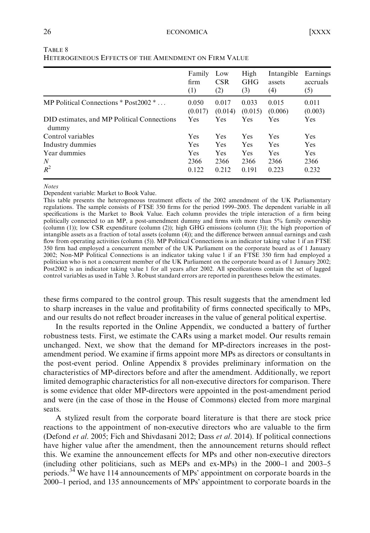|                                                      | Family<br>firm<br>(1) | Low<br><b>CSR</b><br>(2) | High<br><b>GHG</b><br>(3) | Intangible<br>assets<br>(4) | Earnings<br>accruals<br>(5) |
|------------------------------------------------------|-----------------------|--------------------------|---------------------------|-----------------------------|-----------------------------|
| MP Political Connections $*$ Post2002 $*$            | 0.050<br>(0.017)      | 0.017<br>(0.014)         | 0.033<br>(0.015)          | 0.015<br>(0.006)            | 0.011<br>(0.003)            |
| DID estimates, and MP Political Connections<br>dummy | Yes                   | Yes                      | Yes                       | <b>Yes</b>                  | <b>Yes</b>                  |
| Control variables                                    | Yes                   | Yes                      | Yes                       | <b>Yes</b>                  | Yes                         |
| Industry dummies                                     | Yes                   | Yes                      | Yes                       | <b>Yes</b>                  | <b>Yes</b>                  |
| Year dummies                                         | Yes                   | Yes                      | Yes                       | <b>Yes</b>                  | Yes                         |
| N                                                    | 2366                  | 2366                     | 2366                      | 2366                        | 2366                        |
| $R^2$                                                | 0.122                 | 0.212                    | 0.191                     | 0.223                       | 0.232                       |

| TABLE 8                                              |  |
|------------------------------------------------------|--|
| Heterogeneous Effects of the Amendment on Firm Value |  |

#### Notes

Dependent variable: Market to Book Value.

This table presents the heterogeneous treatment effects of the 2002 amendment of the UK Parliamentary regulations. The sample consists of FTSE 350 firms for the period 1999–2005. The dependent variable in all specifications is the Market to Book Value. Each column provides the triple interaction of a firm being politically connected to an MP, a post-amendment dummy and firms with more than 5% family ownership (column (1)); low CSR expenditure (column (2)); high GHG emissions (column (3)); the high proportion of intangible assets as a fraction of total assets (column (4)); and the difference between annual earnings and cash flow from operating activities (column (5)). MP Political Connections is an indicator taking value 1 if an FTSE 350 firm had employed a concurrent member of the UK Parliament on the corporate board as of 1 January 2002; Non-MP Political Connections is an indicator taking value 1 if an FTSE 350 firm had employed a politician who is not a concurrent member of the UK Parliament on the corporate board as of 1 January 2002; Post2002 is an indicator taking value 1 for all years after 2002. All specifications contain the set of lagged control variables as used in Table 3. Robust standard errors are reported in parentheses below the estimates.

these firms compared to the control group. This result suggests that the amendment led to sharp increases in the value and profitability of firms connected specifically to MPs, and our results do not reflect broader increases in the value of general political expertise.

In the results reported in the Online Appendix, we conducted a battery of further robustness tests. First, we estimate the CARs using a market model. Our results remain unchanged. Next, we show that the demand for MP-directors increases in the postamendment period. We examine if firms appoint more MPs as directors or consultants in the post-event period. Online Appendix 8 provides preliminary information on the characteristics of MP-directors before and after the amendment. Additionally, we report limited demographic characteristics for all non-executive directors for comparison. There is some evidence that older MP-directors were appointed in the post-amendment period and were (in the case of those in the House of Commons) elected from more marginal seats.

A stylized result from the corporate board literature is that there are stock price reactions to the appointment of non-executive directors who are valuable to the firm (Defond et al. 2005; Fich and Shivdasani 2012; Dass et al. 2014). If political connections have higher value after the amendment, then the announcement returns should reflect this. We examine the announcement effects for MPs and other non-executive directors (including other politicians, such as MEPs and ex-MPs) in the 2000–1 and 2003–5 periods.<sup>34</sup> We have 114 announcements of MPs' appointment on corporate boards in the 2000–1 period, and 135 announcements of MPs' appointment to corporate boards in the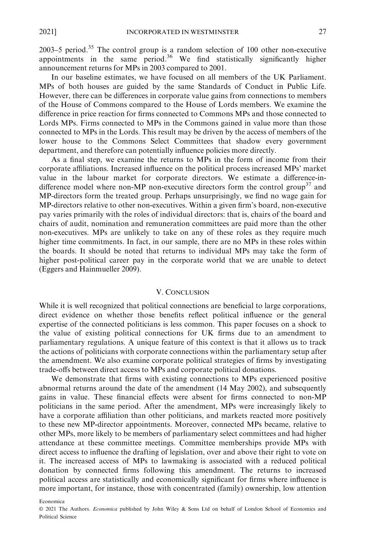2003–5 period.<sup>35</sup> The control group is a random selection of 100 other non-executive appointments in the same period.<sup>36</sup> We find statistically significantly higher announcement returns for MPs in 2003 compared to 2001.

In our baseline estimates, we have focused on all members of the UK Parliament. MPs of both houses are guided by the same Standards of Conduct in Public Life. However, there can be differences in corporate value gains from connections to members of the House of Commons compared to the House of Lords members. We examine the difference in price reaction for firms connected to Commons MPs and those connected to Lords MPs. Firms connected to MPs in the Commons gained in value more than those connected to MPs in the Lords. This result may be driven by the access of members of the lower house to the Commons Select Committees that shadow every government department, and therefore can potentially influence policies more directly.

As a final step, we examine the returns to MPs in the form of income from their corporate affiliations. Increased influence on the political process increased MPs' market value in the labour market for corporate directors. We estimate a difference-indifference model where non-MP non-executive directors form the control group<sup>37</sup> and MP-directors form the treated group. Perhaps unsurprisingly, we find no wage gain for MP-directors relative to other non-executives. Within a given firm's board, non-executive pay varies primarily with the roles of individual directors: that is, chairs of the board and chairs of audit, nomination and remuneration committees are paid more than the other non-executives. MPs are unlikely to take on any of these roles as they require much higher time commitments. In fact, in our sample, there are no MPs in these roles within the boards. It should be noted that returns to individual MPs may take the form of higher post-political career pay in the corporate world that we are unable to detect (Eggers and Hainmueller 2009).

#### V. CONCLUSION

While it is well recognized that political connections are beneficial to large corporations, direct evidence on whether those benefits reflect political influence or the general expertise of the connected politicians is less common. This paper focuses on a shock to the value of existing political connections for UK firms due to an amendment to parliamentary regulations. A unique feature of this context is that it allows us to track the actions of politicians with corporate connections within the parliamentary setup after the amendment. We also examine corporate political strategies of firms by investigating trade-offs between direct access to MPs and corporate political donations.

We demonstrate that firms with existing connections to MPs experienced positive abnormal returns around the date of the amendment (14 May 2002), and subsequently gains in value. These financial effects were absent for firms connected to non-MP politicians in the same period. After the amendment, MPs were increasingly likely to have a corporate affiliation than other politicians, and markets reacted more positively to these new MP-director appointments. Moreover, connected MPs became, relative to other MPs, more likely to be members of parliamentary select committees and had higher attendance at these committee meetings. Committee memberships provide MPs with direct access to influence the drafting of legislation, over and above their right to vote on it. The increased access of MPs to lawmaking is associated with a reduced political donation by connected firms following this amendment. The returns to increased political access are statistically and economically significant for firms where influence is more important, for instance, those with concentrated (family) ownership, low attention

Economica

© 2021 The Authors. Economica published by John Wiley & Sons Ltd on behalf of London School of Economics and Political Science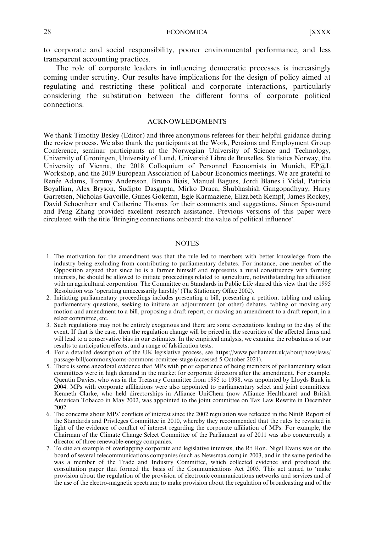28 ECONOMICA [XXXX

to corporate and social responsibility, poorer environmental performance, and less transparent accounting practices.

The role of corporate leaders in influencing democratic processes is increasingly coming under scrutiny. Our results have implications for the design of policy aimed at regulating and restricting these political and corporate interactions, particularly considering the substitution between the different forms of corporate political connections.

#### ACKNOWLEDGMENTS

We thank Timothy Besley (Editor) and three anonymous referees for their helpful guidance during the review process. We also thank the participants at the Work, Pensions and Employment Group Conference, seminar participants at the Norwegian University of Science and Technology, University of Groningen, University of Lund, Universite Libre de Bruxelles, Statistics Norway, the ´ University of Vienna, the 2018 Colloquium of Personnel Economists in Munich, EP@L Workshop, and the 2019 European Association of Labour Economics meetings. We are grateful to Renée Adams, Tommy Andersson, Bruno Biais, Manuel Bagues, Jordi Blanes i Vidal, Patricia Boyallian, Alex Bryson, Sudipto Dasgupta, Mirko Draca, Shubhashish Gangopadhyay, Harry Garretsen, Nicholas Gavoille, Gunes Gokemn, Egle Karmaziene, Elizabeth Kempf, James Rockey, David Schoenherr and Catherine Thomas for their comments and suggestions. Simon Spavound and Peng Zhang provided excellent research assistance. Previous versions of this paper were circulated with the title 'Bringing connections onboard: the value of political influence'.

#### **NOTES**

- 1. The motivation for the amendment was that the rule led to members with better knowledge from the industry being excluding from contributing to parliamentary debates. For instance, one member of the Opposition argued that since he is a farmer himself and represents a rural constituency with farming interests, he should be allowed to initiate proceedings related to agriculture, notwithstanding his affiliation with an agricultural corporation. The Committee on Standards in Public Life shared this view that the 1995 Resolution was 'operating unnecessarily harshly' (The Stationery Office 2002).
- 2. Initiating parliamentary proceedings includes presenting a bill, presenting a petition, tabling and asking parliamentary questions, seeking to initiate an adjournment (or other) debates, tabling or moving any motion and amendment to a bill, proposing a draft report, or moving an amendment to a draft report, in a select committee, etc.
- 3. Such regulations may not be entirely exogenous and there are some expectations leading to the day of the event. If that is the case, then the regulation change will be priced in the securities of the affected firms and will lead to a conservative bias in our estimates. In the empirical analysis, we examine the robustness of our results to anticipation effects, and a range of falsification tests.
- 4. For a detailed description of the UK legislative process, see [https://www.parliament.uk/about/how/laws/](https://www.parliament.uk/about/how/laws/passage-bill/commons/coms-commons-comittee-stage) [passage-bill/commons/coms-commons-comittee-stage](https://www.parliament.uk/about/how/laws/passage-bill/commons/coms-commons-comittee-stage) (accessed 5 October 2021).
- 5. There is some anecdotal evidence that MPs with prior experience of being members of parliamentary select committees were in high demand in the market for corporate directors after the amendment. For example, Quentin Davies, who was in the Treasury Committee from 1995 to 1998, was appointed by Lloyds Bank in 2004. MPs with corporate affiliations were also appointed to parliamentary select and joint committees: Kenneth Clarke, who held directorships in Alliance UniChem (now Alliance Healthcare) and British American Tobacco in May 2002, was appointed to the joint committee on Tax Law Rewrite in December 2002.
- 6. The concerns about MPs' conflicts of interest since the 2002 regulation was reflected in the Ninth Report of the Standards and Privileges Committee in 2010, whereby they recommended that the rules be revisited in light of the evidence of conflict of interest regarding the corporate affiliation of MPs. For example, the Chairman of the Climate Change Select Committee of the Parliament as of 2011 was also concurrently a director of three renewable-energy companies.
- 7. To cite an example of overlapping corporate and legislative interests, the Rt Hon. Nigel Evans was on the board of several telecommunications companies (such as Newsmax.com) in 2003, and in the same period he was a member of the Trade and Industry Committee, which collected evidence and produced the consultation paper that formed the basis of the Communications Act 2003. This act aimed to 'make provision about the regulation of the provision of electronic communications networks and services and of the use of the electro-magnetic spectrum; to make provision about the regulation of broadcasting and of the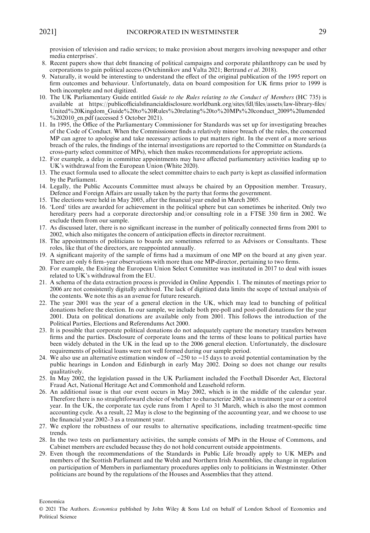provision of television and radio services; to make provision about mergers involving newspaper and other media enterprises'.

- 8. Recent papers show that debt financing of political campaigns and corporate philanthropy can be used by corporations to gain political access (Ovtchinnikov and Valta 2021; Bertrand et al. 2018).
- 9. Naturally, it would be interesting to understand the effect of the original publication of the 1995 report on firm outcomes and behaviour. Unfortunately, data on board composition for UK firms prior to 1999 is both incomplete and not digitized.
- 10. The UK Parliamentary Guide entitled Guide to the Rules relating to the Conduct of Members (HC 735) is available at [https://publicofficialsfinancialdisclosure.worldbank.org/sites/fdl/files/assets/law-library-files/](https://publicofficialsfinancialdisclosure.worldbank.org/sites/fdl/files/assets/law-library-files/United%2520Kingdom_Guide%2520to%2520Rules%2520relating%2520to%2520MPs%2520conduct_2009%2520amended%25202010_en.pdf) [United%20Kingdom\\_Guide%20to%20Rules%20relating%20to%20MPs%20conduct\\_2009%20amended](https://publicofficialsfinancialdisclosure.worldbank.org/sites/fdl/files/assets/law-library-files/United%2520Kingdom_Guide%2520to%2520Rules%2520relating%2520to%2520MPs%2520conduct_2009%2520amended%25202010_en.pdf)  $\%$ 202010 en.pdf (accessed 5 October 2021).
- 11. In 1995, the Office of the Parliamentary Commissioner for Standards was set up for investigating breaches of the Code of Conduct. When the Commissioner finds a relatively minor breach of the rules, the concerned MP can agree to apologise and take necessary actions to put matters right. In the event of a more serious breach of the rules, the findings of the internal investigations are reported to the Committee on Standards (a cross-party select committee of MPs), which then makes recommendations for appropriate actions.
- 12. For example, a delay in committee appointments may have affected parliamentary activities leading up to UK's withdrawal from the European Union (White 2020).
- 13. The exact formula used to allocate the select committee chairs to each party is kept as classified information by the Parliament.
- 14. Legally, the Public Accounts Committee must always be chaired by an Opposition member. Treasury, Defence and Foreign Affairs are usually taken by the party that forms the government.
- 15. The elections were held in May 2005, after the financial year ended in March 2005.
- 16. 'Lord' titles are awarded for achievement in the political sphere but can sometimes be inherited. Only two hereditary peers had a corporate directorship and/or consulting role in a FTSE 350 firm in 2002. We exclude them from our sample.
- 17. As discussed later, there is no significant increase in the number of politically connected firms from 2001 to 2002, which also mitigates the concern of anticipation effects in director recruitment.
- 18. The appointments of politicians to boards are sometimes referred to as Advisors or Consultants. These roles, like that of the directors, are reappointed annually.
- 19. A significant majority of the sample of firms had a maximum of one MP on the board at any given year. There are only 6 firm–year observations with more than one MP-director, pertaining to two firms.
- 20. For example, the Exiting the European Union Select Committee was instituted in 2017 to deal with issues related to UK's withdrawal from the EU.
- 21. A schema of the data extraction process is provided in Online Appendix 1. The minutes of meetings prior to 2006 are not consistently digitally archived. The lack of digitized data limits the scope of textual analysis of the contents. We note this as an avenue for future research.
- 22. The year 2001 was the year of a general election in the UK, which may lead to bunching of political donations before the election. In our sample, we include both pre-poll and post-poll donations for the year 2001. Data on political donations are available only from 2001. This follows the introduction of the Political Parties, Elections and Referendums Act 2000.
- 23. It is possible that corporate political donations do not adequately capture the monetary transfers between firms and the parties. Disclosure of corporate loans and the terms of these loans to political parties have been widely debated in the UK in the lead up to the 2006 general election. Unfortunately, the disclosure requirements of political loans were not well formed during our sample period.
- 24. We also use an alternative estimation window of −250 to −15 days to avoid potential contamination by the public hearings in London and Edinburgh in early May 2002. Doing so does not change our results qualitatively.
- 25. In May 2002, the legislation passed in the UK Parliament included the Football Disorder Act, Electoral Fraud Act, National Heritage Act and Commonhold and Leasehold reform.
- 26. An additional issue is that our event occurs in May 2002, which is in the middle of the calendar year. Therefore there is no straightforward choice of whether to characterize 2002 as a treatment year or a control year. In the UK, the corporate tax cycle runs from 1 April to 31 March, which is also the most common accounting cycle. As a result, 22 May is close to the beginning of the accounting year, and we choose to use the financial year 2002–3 as a treatment year.
- 27. We explore the robustness of our results to alternative specifications, including treatment-specific time trends.
- 28. In the two tests on parliamentary activities, the sample consists of MPs in the House of Commons, and Cabinet members are excluded because they do not hold concurrent outside appointments.
- 29. Even though the recommendations of the Standards in Public Life broadly apply to UK MEPs and members of the Scottish Parliament and the Welsh and Northern Irish Assemblies, the change in regulation on participation of Members in parliamentary procedures applies only to politicians in Westminster. Other politicians are bound by the regulations of the Houses and Assemblies that they attend.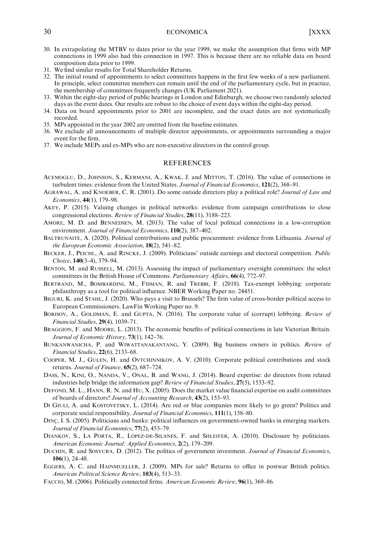#### 30 ECONOMICA [XXXX

- 30. In extrapolating the MTBV to dates prior to the year 1999, we make the assumption that firms with MP connections in 1999 also had this connection in 1997. This is because there are no reliable data on board composition data prior to 1999.
- 31. We find similar results for Total Shareholder Returns.
- 32. The initial round of appointments to select committees happens in the first few weeks of a new parliament. In principle, select committee members can remain until the end of the parliamentary cycle, but in practice, the membership of committees frequently changes (UK Parliament 2021).
- 33. Within the eight-day period of public hearings in London and Edinburgh, we choose two randomly selected days as the event dates. Our results are robust to the choice of event days within the eight-day period.
- 34. Data on board appointments prior to 2001 are incomplete, and the exact dates are not systematically recorded.
- 35. MPs appointed in the year 2002 are omitted from the baseline estimates.
- 36. We exclude all announcements of multiple director appointments, or appointments surrounding a major event for the firm.
- 37. We include MEPs and ex-MPs who are non-executive directors in the control group.

### **REFERENCES**

- ACEMOGLU, D., JOHNSON, S., KERMANI, A., KWAK, J. and MITTON, T. (2016). The value of connections in turbulent times: evidence from the United States. Journal of Financial Economics, 121(2), 368–91.
- AGRAWAL, A. and KNOEBER, C. R. (2001). Do some outside directors play a political role? Journal of Law and Economics, 44(1), 179–98.
- AKEY, P. (2015). Valuing changes in political networks: evidence from campaign contributions to close congressional elections. Review of Financial Studies, 28(11), 3188–223.
- AMORE, M. D. and BENNEDSEN, M. (2013). The value of local political connections in a low-corruption environment. Journal of Financial Economics, 110(2), 387–402.
- BALTRUNAITE, A. (2020). Political contributions and public procurement: evidence from Lithuania. *Journal of* the European Economic Association, 18(2), 541–82.
- BECKER, J., PEICHL, A. and RINCKE, J. (2009). Politicians' outside earnings and electoral competition. Public Choice, 140(3–4), 379–94.
- BENTON, M. and RUSSELL, M. (2013). Assessing the impact of parliamentary oversight committees: the select committees in the British House of Commons. Parliamentary Affairs, 66(4), 772–97.
- BERTRAND, M., BOMBARDINI, M., FISMAN, R. and TREBBI, F. (2018). Tax-exempt lobbying: corporate philanthropy as a tool for political influence. NBER Working Paper no. 24451.
- BIGURI, K. and STAHL, J. (2020). Who pays a visit to Brussels? The firm value of cross-border political access to European Commissioners. LawFin Working Paper no. 9.
- BORISOV, A., GOLDMAN, E. and GUPTA, N. (2016). The corporate value of (corrupt) lobbying. Review of Financial Studies, 29(4), 1039–71.
- BRAGGION, F. and MOORE, L. (2013). The economic benefits of political connections in late Victorian Britain. Journal of Economic History, 73(1), 142-76.
- BUNKANWANICHA, P. and WIWATTANAKANTANG, Y. (2009). Big business owners in politics. Review of Financial Studies, 22(6), 2133–68.
- COOPER, M. J., GULEN, H. and OVTCHINNIKOV, A. V. (2010). Corporate political contributions and stock returns. Journal of Finance, 65(2), 687–724.
- DASS, N., KINI, O., NANDA, V., ONAL, B. and WANG, J. (2014). Board expertise: do directors from related industries help bridge the information gap? Review of Financial Studies, 27(5), 1533–92.
- DEFOND, M. L., HANN, R. N. and HU, X. (2005). Does the market value financial expertise on audit committees of boards of directors? Journal of Accounting Research, 43(2), 153–93.
- DI GIULI, A. and KOSTOVETSKY, L. (2014). Are red or blue companies more likely to go green? Politics and corporate social responsibility. Journal of Financial Economics, 111(1), 158–80.
- DINC<sub>z</sub>, I. S. (2005). Politicians and banks: political influences on government-owned banks in emerging markets. Journal of Financial Economics, 77(2), 453–79.
- DJANKOV, S., LA PORTA, R., LOPEZ-DE-SILANES, F. and SHLEIFER, A. (2010). Disclosure by politicians. American Economic Journal: Applied Economics, 2(2), 179–209.
- DUCHIN, R. and SOSYURA, D. (2012). The politics of government investment. Journal of Financial Economics, 106(1), 24–48.
- EGGERS, A. C. and HAINMUELLER, J. (2009). MPs for sale? Returns to office in postwar British politics. American Political Science Review, 103(4), 513–33.
- FACCIO, M. (2006). Politically connected firms. American Economic Review, 96(1), 369–86.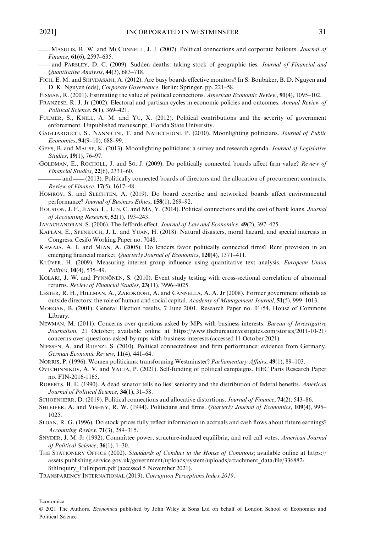- 2021] INCORPORATED IN WESTMINSTER 31<br>— MASULIS, R. W. and McCONNELL, J. J. (2007). Political connections and corporate bailouts. *Journal of* Finance, 61(6), 2597–635.
- and PARSLEY, D. C. (2009). Sudden deaths: taking stock of geographic ties. Journal of Financial and Quantitative Analysis, 44(3), 683–718.
- FICH, E. M. and SHIVDASANI, A. (2012). Are busy boards effective monitors? In S. Boubaker, B. D. Nguyen and D. K. Nguyen (eds), Corporate Governance. Berlin: Springer, pp. 221–58.
- FISMAN, R. (2001). Estimating the value of political connections. American Economic Review, 91(4), 1095–102.
- FRANZESE, R. J. Jr (2002). Electoral and partisan cycles in economic policies and outcomes. Annual Review of Political Science, 5(1), 369–421.
- FULMER, S., KNILL, A. M. and YU, X. (2012). Political contributions and the severity of government enforcement. Unpublished manuscript, Florida State University.
- GAGLIARDUCCI, S., NANNICINI, T. and NATICCHIONI, P. (2010). Moonlighting politicians. Journal of Public Economics, 94(9–10), 688–99.
- GEYS, B. and MAUSE, K. (2013). Moonlighting politicians: a survey and research agenda. Journal of Legislative Studies, 19(1), 76–97. GEYS, B. and MAUSE, K. (2013). Moonlighting politicians: a survey and research agenda. Journal of Legislative Studies, 19(1), 76–97.<br>GOLDMAN, E., ROCHOLL, J. and So, J. (2009). Do politically connected boards affect firm v
- GOLDMAN, E., ROCHOLL, J. and SO, J. (2009). Do politically connected boards affect firm value? Review of Financial Studies, 22(6), 2331–60.

Review of Finance, 17(5), 1617–48.

- HOMROY, S. and SLECHTEN, A. (2019). Do board expertise and networked boards affect environmental performance? Journal of Business Ethics, 158(1), 269–92.
- HOUSTON, J. F., JIANG, L., LIN, C. and MA, Y. (2014). Political connections and the cost of bank loans. Journal of Accounting Research, 52(1), 193–243.
- JAYACHANDRAN, S. (2006). The Jeffords effect. Journal of Law and Economics, 49(2), 397–425.
- KAPLAN, E., SPENKUCH, J. L. and YUAN, H. (2018). Natural disasters, moral hazard, and special interests in Congress. Cesifo Working Paper no. 7048.
- KHWAJA, A. I. and MIAN, A. (2005). Do lenders favor politically connected firms? Rent provision in an emerging financial market. Quarterly Journal of Economics, 120(4), 1371-411.
- KLUVER, H. (2009). Measuring interest group influence using quantitative text analysis. European Union Politics, 10(4), 535–49.
- KOLARI, J. W. and PYNNÖNEN, S. (2010). Event study testing with cross-sectional correlation of abnormal returns. Review of Financial Studies, 23(11), 3996–4025.
- LESTER, R. H., HILLMAN, A., ZARDKOOHI, A. and CANNELLA, A. A. Jr (2008). Former government officials as outside directors: the role of human and social capital. Academy of Management Journal, 51(5), 999–1013.
- MORGAN, B. (2001). General Election results, 7 June 2001. Research Paper no. 01/54, House of Commons Library.
- NEWMAN, M. (2011). Concerns over questions asked by MPs with business interests. Bureau of Investigative Journalism, 21 October; available online at [https://www.thebureauinvestigates.com/stories/2011-10-21/](https://www.thebureauinvestigates.com/stories/2011-10-21/concerns-over-questions-asked-by-mps-with-business-interests) [concerns-over-questions-asked-by-mps-with-business-interests](https://www.thebureauinvestigates.com/stories/2011-10-21/concerns-over-questions-asked-by-mps-with-business-interests) (accessed 11 October 2021).
- NIESSEN, A. and RUENZI, S. (2010). Political connectedness and firm performance: evidence from Germany. German Economic Review, 11(4), 441–64.

NORRIS, P. (1996). Women politicians: transforming Westminster? Parliamentary Affairs, 49(1), 89–103.

- OVTCHINNIKOV, A. V. and VALTA, P. (2021). Self-funding of political campaigns. HEC Paris Research Paper no. FIN-2016-1165.
- ROBERTS, B. E. (1990). A dead senator tells no lies: seniority and the distribution of federal benefits. American Journal of Political Science, 34(1), 31-58.
- SCHOENHERR, D. (2019). Political connections and allocative distortions. Journal of Finance, 74(2), 543–86.
- SHLEIFER, A. and VISHNY, R. W. (1994). Politicians and firms. Quarterly Journal of Economics, 109(4), 995-1025.
- SLOAN, R. G. (1996). Do stock prices fully reflect information in accruals and cash flows about future earnings? Accounting Review, 71(3), 289–315.
- SNYDER, J. M. Jr (1992). Committee power, structure-induced equilibria, and roll call votes. American Journal of Political Science, 36(1), 1–30.
- THE STATIONERY OFFICE (2002). Standards of Conduct in the House of Commons; available online at [https://](https://assets.publishing.service.gov.uk/government/uploads/system/uploads/attachment_data/file/336882/8thInquiry_Fullreport.pdf) [assets.publishing.service.gov.uk/government/uploads/system/uploads/attachment\\_data/file/336882/](https://assets.publishing.service.gov.uk/government/uploads/system/uploads/attachment_data/file/336882/8thInquiry_Fullreport.pdf) [8thInquiry\\_Fullreport.pdf](https://assets.publishing.service.gov.uk/government/uploads/system/uploads/attachment_data/file/336882/8thInquiry_Fullreport.pdf) (accessed 5 November 2021).
- TRANSPARENCY INTERNATIONAL (2019). Corruption Perceptions Index 2019.